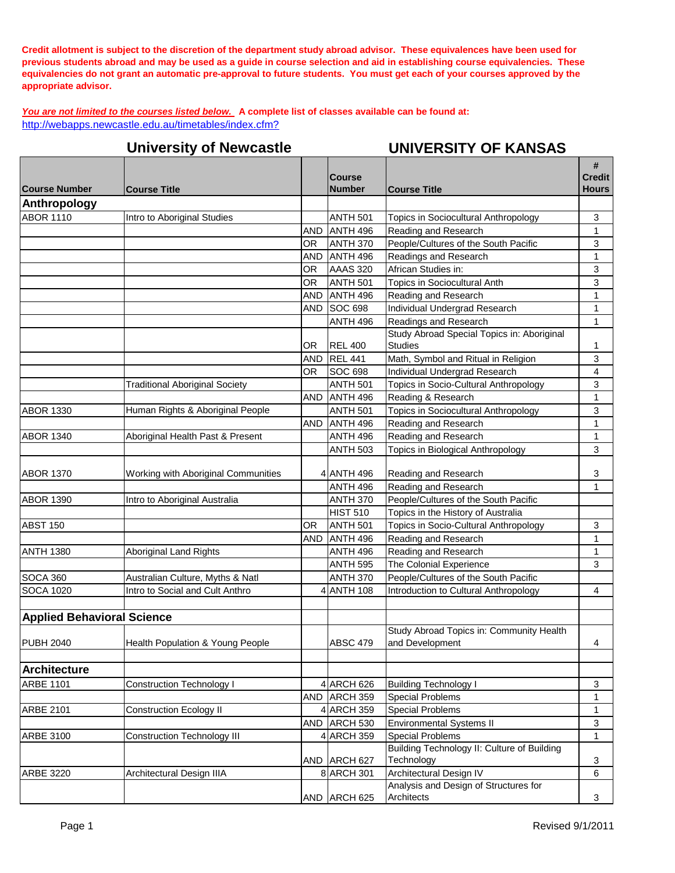**Credit allotment is subject to the discretion of the department study abroad advisor. These equivalences have been used for previous students abroad and may be used as a guide in course selection and aid in establishing course equivalencies. These equivalencies do not grant an automatic pre-approval to future students. You must get each of your courses approved by the appropriate advisor.**

*You are not limited to the courses listed below.* **A complete list of classes available can be found at:** <http://webapps.newcastle.edu.au/timetables/index.cfm?>

|                                     | <b>University of Newcastle</b>                                      |            |                         | <b>UNIVERSITY OF KANSAS</b>                                                   |                                    |
|-------------------------------------|---------------------------------------------------------------------|------------|-------------------------|-------------------------------------------------------------------------------|------------------------------------|
| <b>Course Number</b>                | <b>Course Title</b>                                                 |            | Course<br><b>Number</b> | <b>Course Title</b>                                                           | #<br><b>Credit</b><br><b>Hours</b> |
| Anthropology                        |                                                                     |            |                         |                                                                               |                                    |
| <b>ABOR 1110</b>                    | Intro to Aboriginal Studies                                         |            | <b>ANTH 501</b>         | Topics in Sociocultural Anthropology                                          | $\mathbf{3}$                       |
|                                     |                                                                     | <b>AND</b> | ANTH <sub>496</sub>     | Reading and Research                                                          | $\mathbf{1}$                       |
|                                     |                                                                     | OR.        | <b>ANTH 370</b>         | People/Cultures of the South Pacific                                          | 3                                  |
|                                     |                                                                     | <b>AND</b> | ANTH <sub>496</sub>     | Readings and Research                                                         | 1                                  |
|                                     |                                                                     | <b>OR</b>  | <b>AAAS 320</b>         | African Studies in:                                                           | 3                                  |
|                                     |                                                                     | OR.        | <b>ANTH 501</b>         | <b>Topics in Sociocultural Anth</b>                                           | 3                                  |
|                                     |                                                                     | <b>AND</b> | ANTH <sub>496</sub>     | Reading and Research                                                          | 1                                  |
|                                     |                                                                     | AND        | <b>SOC 698</b>          | Individual Undergrad Research                                                 | 1                                  |
|                                     |                                                                     |            | <b>ANTH 496</b>         | Readings and Research                                                         | 1                                  |
|                                     |                                                                     | OR.        | <b>REL 400</b>          | Study Abroad Special Topics in: Aboriginal<br><b>Studies</b>                  | 1                                  |
|                                     |                                                                     | <b>AND</b> | <b>REL 441</b>          | Math, Symbol and Ritual in Religion                                           | 3                                  |
|                                     |                                                                     | OR.        | <b>SOC 698</b>          | Individual Undergrad Research                                                 | 4                                  |
|                                     | <b>Traditional Aboriginal Society</b>                               |            | <b>ANTH 501</b>         | Topics in Socio-Cultural Anthropology                                         | 3                                  |
|                                     |                                                                     | <b>AND</b> | ANTH <sub>496</sub>     | Reading & Research                                                            | 1                                  |
| <b>ABOR 1330</b>                    | Human Rights & Aboriginal People                                    |            | <b>ANTH 501</b>         | <b>Topics in Sociocultural Anthropology</b>                                   | 3                                  |
|                                     |                                                                     | <b>AND</b> | ANTH 496                | Reading and Research                                                          | $\mathbf{1}$                       |
| <b>ABOR 1340</b>                    | Aboriginal Health Past & Present                                    |            | <b>ANTH 496</b>         | Reading and Research                                                          | 1                                  |
|                                     |                                                                     |            | <b>ANTH 503</b>         | Topics in Biological Anthropology                                             | 3                                  |
|                                     |                                                                     |            |                         |                                                                               |                                    |
| <b>ABOR 1370</b>                    | Working with Aboriginal Communities                                 |            | 4 ANTH 496              | Reading and Research                                                          | 3                                  |
|                                     |                                                                     |            | <b>ANTH 496</b>         | Reading and Research                                                          | 1                                  |
| <b>ABOR 1390</b>                    | Intro to Aboriginal Australia                                       |            | <b>ANTH 370</b>         | People/Cultures of the South Pacific                                          |                                    |
|                                     |                                                                     |            | HIST 510                | Topics in the History of Australia                                            |                                    |
| <b>ABST 150</b>                     |                                                                     | OR.        | <b>ANTH 501</b>         | Topics in Socio-Cultural Anthropology                                         | 3                                  |
|                                     |                                                                     | <b>AND</b> | ANTH <sub>496</sub>     | Reading and Research                                                          | $\mathbf{1}$                       |
| <b>ANTH 1380</b>                    | <b>Aboriginal Land Rights</b>                                       |            | <b>ANTH 496</b>         | Reading and Research                                                          | 1                                  |
|                                     |                                                                     |            | <b>ANTH 595</b>         | The Colonial Experience                                                       | 3                                  |
| <b>SOCA 360</b><br><b>SOCA 1020</b> | Australian Culture, Myths & Natl<br>Intro to Social and Cult Anthro |            | <b>ANTH 370</b>         | People/Cultures of the South Pacific<br>Introduction to Cultural Anthropology |                                    |
|                                     |                                                                     |            | <b>ANTH 108</b>         |                                                                               | 4                                  |
| <b>Applied Behavioral Science</b>   |                                                                     |            |                         |                                                                               |                                    |
|                                     |                                                                     |            |                         | Study Abroad Topics in: Community Health                                      |                                    |
| <b>PUBH 2040</b>                    | Health Population & Young People                                    |            | <b>ABSC 479</b>         | and Development                                                               | $\overline{4}$                     |
|                                     |                                                                     |            |                         |                                                                               |                                    |
| <b>Architecture</b>                 |                                                                     |            |                         |                                                                               |                                    |
| <b>ARBE 1101</b>                    | <b>Construction Technology I</b>                                    |            | 4 ARCH 626              | <b>Building Technology I</b>                                                  | 3                                  |
|                                     |                                                                     | AND        | ARCH 359                | <b>Special Problems</b>                                                       | 1                                  |
| <b>ARBE 2101</b>                    | <b>Construction Ecology II</b>                                      |            | 4 ARCH 359              | <b>Special Problems</b>                                                       | 1                                  |
|                                     |                                                                     | AND        | ARCH 530                | <b>Environmental Systems II</b>                                               | 3                                  |
| <b>ARBE 3100</b>                    | <b>Construction Technology III</b>                                  |            | 4 ARCH 359              | <b>Special Problems</b>                                                       | 1                                  |
|                                     |                                                                     |            |                         | Building Technology II: Culture of Building                                   |                                    |
|                                     |                                                                     |            | AND ARCH 627            | Technology                                                                    | 3                                  |
| <b>ARBE 3220</b>                    | Architectural Design IIIA                                           |            | 8 ARCH 301              | Architectural Design IV                                                       | 6                                  |
|                                     |                                                                     |            |                         | Analysis and Design of Structures for                                         |                                    |
|                                     |                                                                     |            | AND ARCH 625            | Architects                                                                    | 3                                  |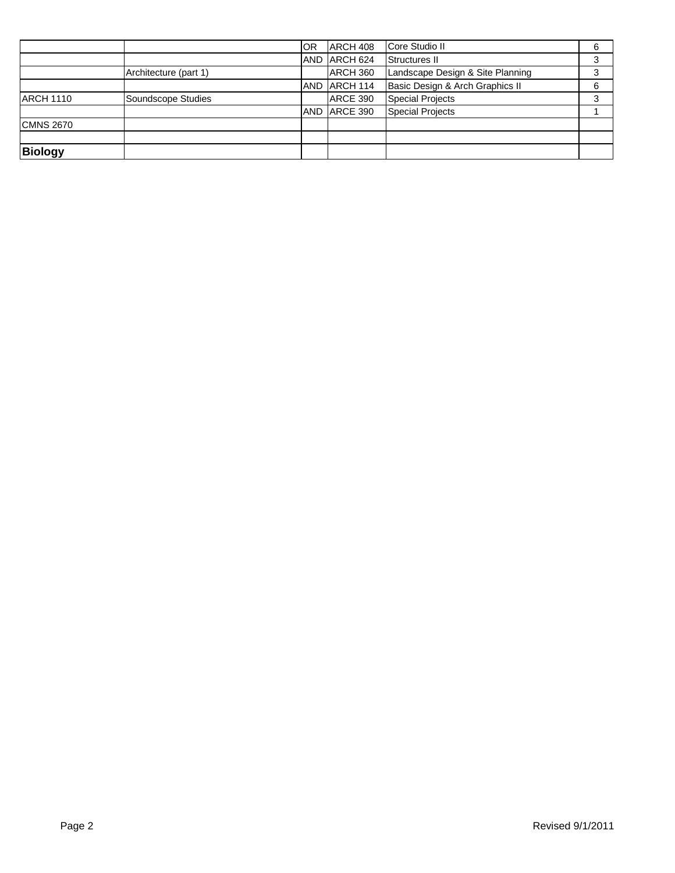|                  |                       | <b>OR</b>  | ARCH 408            | Core Studio II                   | 6 |
|------------------|-----------------------|------------|---------------------|----------------------------------|---|
|                  |                       | <b>AND</b> | ARCH <sub>624</sub> | Structures II                    |   |
|                  | Architecture (part 1) |            | ARCH 360            | Landscape Design & Site Planning |   |
|                  |                       | <b>AND</b> | ARCH 114            | Basic Design & Arch Graphics II  | 6 |
| <b>ARCH 1110</b> | Soundscope Studies    |            | ARCE 390            | Special Projects                 |   |
|                  |                       | <b>AND</b> | ARCE 390            | <b>Special Projects</b>          |   |
| <b>CMNS 2670</b> |                       |            |                     |                                  |   |
|                  |                       |            |                     |                                  |   |
| <b>Biology</b>   |                       |            |                     |                                  |   |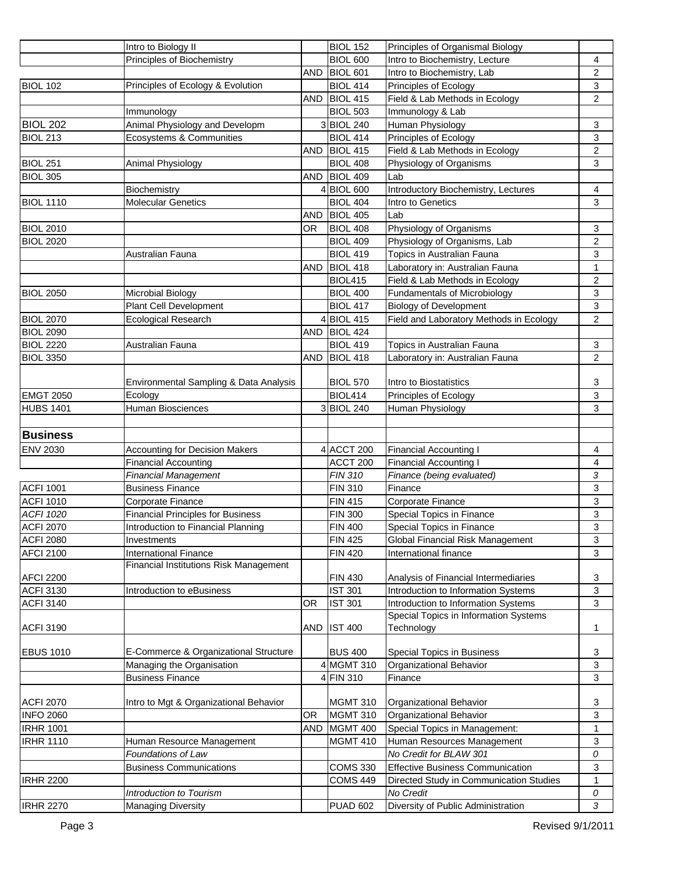|                                      | Intro to Biology II                               |            | <b>BIOL 152</b>                  | Principles of Organismal Biology                                             |                           |
|--------------------------------------|---------------------------------------------------|------------|----------------------------------|------------------------------------------------------------------------------|---------------------------|
|                                      | Principles of Biochemistry                        |            | <b>BIOL 600</b>                  | Intro to Biochemistry, Lecture                                               | 4                         |
|                                      |                                                   | <b>AND</b> | BIOL 601                         | Intro to Biochemistry, Lab                                                   | $\mathbf{2}$              |
| <b>BIOL 102</b>                      | Principles of Ecology & Evolution                 |            | <b>BIOL 414</b>                  | Principles of Ecology                                                        | $\sqrt{3}$                |
|                                      |                                                   | AND        | BIOL 415                         | Field & Lab Methods in Ecology                                               | $\boldsymbol{2}$          |
|                                      | Immunology                                        |            | <b>BIOL 503</b>                  | Immunology & Lab                                                             |                           |
| <b>BIOL 202</b>                      | Animal Physiology and Developm                    |            | 3BIOL 240                        | Human Physiology                                                             | 3                         |
| BIOL 213                             | Ecosystems & Communities                          |            | <b>BIOL 414</b>                  | Principles of Ecology                                                        | 3                         |
|                                      |                                                   | <b>AND</b> | BIOL 415                         | Field & Lab Methods in Ecology                                               | $\overline{c}$            |
| BIOL 251                             | Animal Physiology                                 |            | <b>BIOL 408</b>                  | Physiology of Organisms                                                      | 3                         |
| BIOL 305                             |                                                   | <b>AND</b> | <b>BIOL 409</b>                  | Lab                                                                          |                           |
|                                      | Biochemistry                                      |            | 4 BIOL 600                       | Introductory Biochemistry, Lectures                                          | 4                         |
| <b>BIOL 1110</b>                     | <b>Molecular Genetics</b>                         |            | <b>BIOL 404</b>                  | Intro to Genetics                                                            | $\sqrt{3}$                |
|                                      |                                                   | <b>AND</b> | BIOL 405                         | Lab                                                                          |                           |
| <b>BIOL 2010</b>                     |                                                   | OR.        | BIOL 408                         | Physiology of Organisms                                                      | 3                         |
| <b>BIOL 2020</b>                     |                                                   |            | <b>BIOL 409</b>                  | Physiology of Organisms, Lab                                                 | $\overline{c}$            |
|                                      | Australian Fauna                                  |            | <b>BIOL 419</b>                  | Topics in Australian Fauna                                                   | 3                         |
|                                      |                                                   | <b>AND</b> | BIOL 418                         | Laboratory in: Australian Fauna                                              | 1                         |
|                                      |                                                   |            | <b>BIOL415</b>                   | Field & Lab Methods in Ecology                                               | $\overline{c}$            |
| <b>BIOL 2050</b>                     | Microbial Biology                                 |            | <b>BIOL 400</b>                  | <b>Fundamentals of Microbiology</b>                                          | 3                         |
|                                      | Plant Cell Development                            |            | <b>BIOL 417</b>                  | <b>Biology of Development</b>                                                | $\ensuremath{\mathsf{3}}$ |
| <b>BIOL 2070</b>                     | <b>Ecological Research</b>                        |            | BIOL 415                         | Field and Laboratory Methods in Ecology                                      | $\overline{2}$            |
| <b>BIOL 2090</b>                     |                                                   | AND        | BIOL 424                         |                                                                              |                           |
| <b>BIOL 2220</b>                     | Australian Fauna                                  |            | <b>BIOL 419</b>                  | Topics in Australian Fauna                                                   | $\ensuremath{\mathsf{3}}$ |
| <b>BIOL 3350</b>                     |                                                   | <b>AND</b> | BIOL 418                         | Laboratory in: Australian Fauna                                              | $\overline{c}$            |
|                                      |                                                   |            |                                  |                                                                              |                           |
|                                      | Environmental Sampling & Data Analysis            |            | <b>BIOL 570</b>                  | Intro to Biostatistics                                                       | 3                         |
| <b>EMGT 2050</b>                     | Ecology                                           |            | <b>BIOL414</b>                   | Principles of Ecology                                                        | $\sqrt{3}$                |
| <b>HUBS 1401</b>                     | Human Biosciences                                 |            | 3BIOL 240                        | Human Physiology                                                             | 3                         |
|                                      |                                                   |            |                                  |                                                                              |                           |
| <b>Business</b>                      |                                                   |            |                                  |                                                                              |                           |
| <b>ENV 2030</b>                      | <b>Accounting for Decision Makers</b>             |            | 4 ACCT 200                       | <b>Financial Accounting I</b>                                                | 4                         |
|                                      | <b>Financial Accounting</b>                       |            | ACCT 200                         | <b>Financial Accounting I</b>                                                | 4                         |
|                                      | <b>Financial Management</b>                       |            | <b>FIN 310</b>                   | Finance (being evaluated)                                                    | 3                         |
| <b>ACFI 1001</b>                     | <b>Business Finance</b>                           |            | <b>FIN 310</b>                   | Finance                                                                      | 3                         |
|                                      |                                                   |            |                                  |                                                                              |                           |
|                                      |                                                   |            |                                  |                                                                              |                           |
| <b>ACFI 1010</b>                     | Corporate Finance                                 |            | <b>FIN 415</b>                   | Corporate Finance                                                            | 3<br>3                    |
| <b>ACFI 1020</b>                     | <b>Financial Principles for Business</b>          |            | <b>FIN 300</b>                   | Special Topics in Finance                                                    |                           |
| ACFI 2070                            | Introduction to Financial Planning<br>Investments |            | <b>FIN 400</b><br><b>FIN 425</b> | Special Topics in Finance                                                    | 3<br>3                    |
| <b>ACFI 2080</b>                     |                                                   |            |                                  | <b>Global Financial Risk Management</b>                                      |                           |
| <b>AFCI 2100</b>                     | <b>International Finance</b>                      |            | <b>FIN 420</b>                   | International finance                                                        | 3                         |
| <b>AFCI 2200</b>                     | <b>Financial Institutions Risk Management</b>     |            | <b>FIN 430</b>                   |                                                                              | 3                         |
|                                      | Introduction to eBusiness                         |            | <b>IST 301</b>                   | Analysis of Financial Intermediaries<br>Introduction to Information Systems  | 3                         |
| <b>ACFI 3130</b><br><b>ACFI 3140</b> |                                                   | <b>OR</b>  | <b>IST 301</b>                   |                                                                              | 3                         |
|                                      |                                                   |            |                                  | Introduction to Information Systems<br>Special Topics in Information Systems |                           |
| <b>ACFI 3190</b>                     |                                                   | AND        | <b>IST 400</b>                   | Technology                                                                   | 1                         |
|                                      |                                                   |            |                                  |                                                                              |                           |
| <b>EBUS 1010</b>                     | E-Commerce & Organizational Structure             |            | <b>BUS 400</b>                   | Special Topics in Business                                                   | 3                         |
|                                      | Managing the Organisation                         |            | 4 MGMT 310                       | Organizational Behavior                                                      | 3                         |
|                                      | <b>Business Finance</b>                           |            | 4 FIN 310                        | Finance                                                                      | 3                         |
|                                      |                                                   |            |                                  |                                                                              |                           |
|                                      | Intro to Mgt & Organizational Behavior            |            | <b>MGMT 310</b>                  | Organizational Behavior                                                      | 3                         |
| <b>INFO 2060</b>                     |                                                   | <b>OR</b>  | MGMT 310                         | Organizational Behavior                                                      | 3                         |
| <b>ACFI 2070</b><br><b>IRHR 1001</b> |                                                   | <b>AND</b> | MGMT 400                         | Special Topics in Management:                                                | 1                         |
| <b>IRHR 1110</b>                     | Human Resource Management                         |            | <b>MGMT 410</b>                  | Human Resources Management                                                   | 3                         |
|                                      | Foundations of Law                                |            |                                  | No Credit for BLAW 301                                                       | 0                         |
|                                      | <b>Business Communications</b>                    |            | <b>COMS 330</b>                  | <b>Effective Business Communication</b>                                      | 3                         |
| <b>IRHR 2200</b>                     |                                                   |            | <b>COMS 449</b>                  | Directed Study in Communication Studies                                      | 1                         |
|                                      | Introduction to Tourism                           |            |                                  | No Credit                                                                    | 0                         |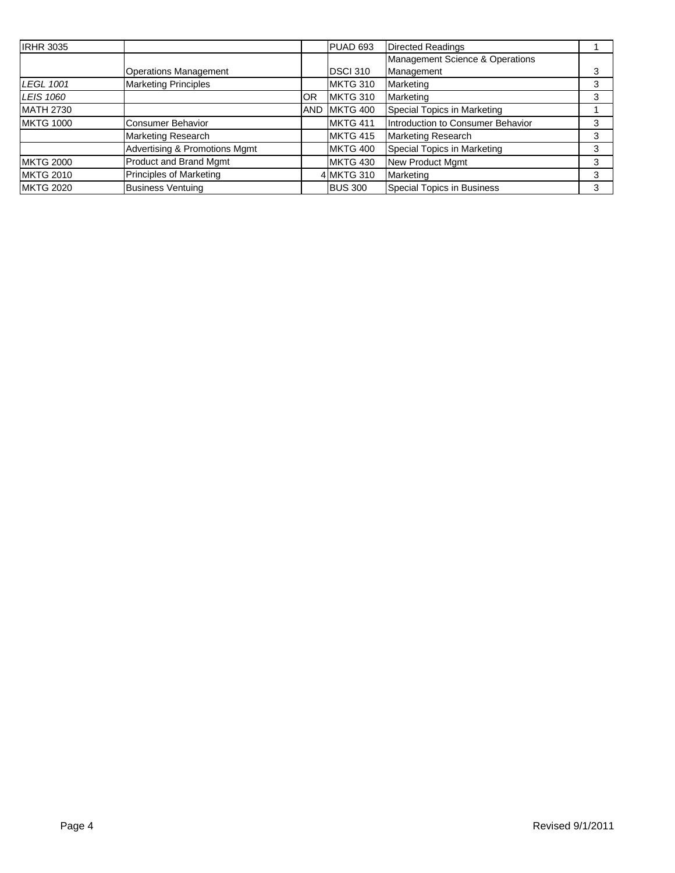| <b>IRHR 3035</b>  |                                |            | PUAD 693         | <b>Directed Readings</b>          |   |
|-------------------|--------------------------------|------------|------------------|-----------------------------------|---|
|                   |                                |            |                  | Management Science & Operations   |   |
|                   | <b>Operations Management</b>   |            | DSCI 310         | Management                        |   |
| LEGL 1001         | <b>Marketing Principles</b>    |            | MKTG 310         | Marketing                         | 3 |
| LEIS 1060         |                                | 0R         | MKTG 310         | Marketing                         |   |
| <b>MATH 2730</b>  |                                | <b>AND</b> | MKTG 400         | Special Topics in Marketing       |   |
| <b>IMKTG 1000</b> | <b>Consumer Behavior</b>       |            | <b>IMKTG 411</b> | Introduction to Consumer Behavior | 3 |
|                   | Marketing Research             |            | MKTG 415         | <b>Marketing Research</b>         | 3 |
|                   | Advertising & Promotions Mgmt  |            | MKTG 400         | Special Topics in Marketing       | 3 |
| <b>IMKTG 2000</b> | Product and Brand Mgmt         |            | MKTG 430         | New Product Mgmt                  | 3 |
| <b>IMKTG 2010</b> | <b>Principles of Marketing</b> |            | 4 MKTG 310       | Marketing                         | 3 |
| <b>IMKTG 2020</b> | <b>Business Ventuing</b>       |            | <b>BUS 300</b>   | Special Topics in Business        | 3 |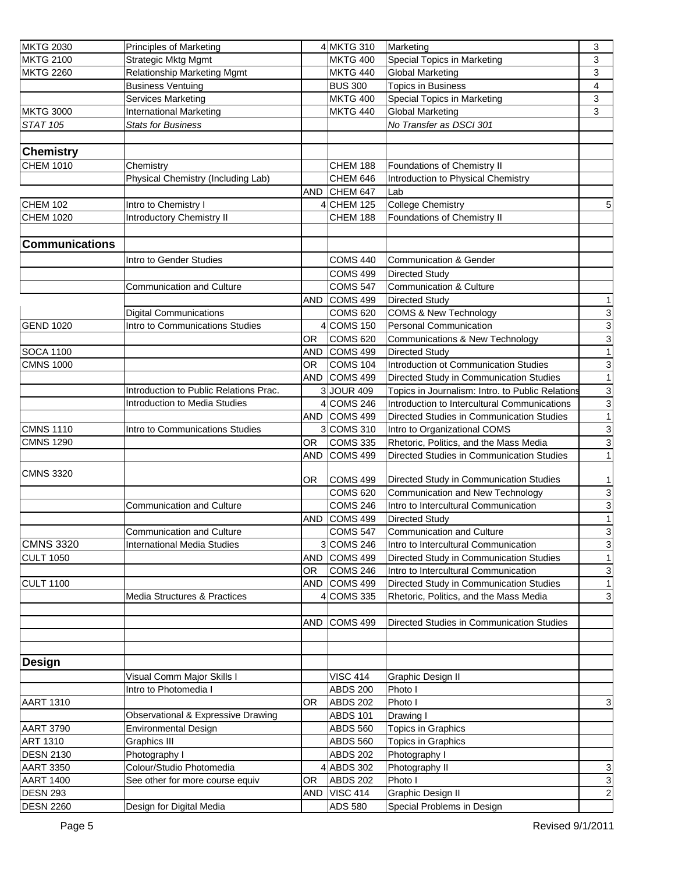| <b>MKTG 2030</b>      | <b>Principles of Marketing</b>         |            | 4 MKTG 310          | Marketing                                        | 3              |
|-----------------------|----------------------------------------|------------|---------------------|--------------------------------------------------|----------------|
| <b>MKTG 2100</b>      | <b>Strategic Mktg Mgmt</b>             |            | <b>MKTG 400</b>     | Special Topics in Marketing                      | 3              |
| <b>MKTG 2260</b>      | <b>Relationship Marketing Mgmt</b>     |            | <b>MKTG 440</b>     | <b>Global Marketing</b>                          | 3              |
|                       | <b>Business Ventuing</b>               |            | <b>BUS 300</b>      | <b>Topics in Business</b>                        | 4              |
|                       | Services Marketing                     |            | <b>MKTG 400</b>     | Special Topics in Marketing                      | 3              |
| <b>MKTG 3000</b>      | <b>International Marketing</b>         |            | <b>MKTG 440</b>     | <b>Global Marketing</b>                          | 3              |
| <b>STAT 105</b>       | <b>Stats for Business</b>              |            |                     | No Transfer as DSCI 301                          |                |
|                       |                                        |            |                     |                                                  |                |
| <b>Chemistry</b>      |                                        |            |                     |                                                  |                |
| <b>CHEM 1010</b>      | Chemistry                              |            | CHEM 188            | Foundations of Chemistry II                      |                |
|                       | Physical Chemistry (Including Lab)     |            | <b>CHEM 646</b>     | Introduction to Physical Chemistry               |                |
|                       |                                        | <b>AND</b> | CHEM 647            | Lab                                              |                |
| <b>CHEM 102</b>       | Intro to Chemistry I                   |            | <b>CHEM 125</b>     | <b>College Chemistry</b>                         | $\sqrt{5}$     |
| <b>CHEM 1020</b>      | Introductory Chemistry II              |            | CHEM 188            | Foundations of Chemistry II                      |                |
|                       |                                        |            |                     |                                                  |                |
| <b>Communications</b> |                                        |            |                     |                                                  |                |
|                       |                                        |            |                     |                                                  |                |
|                       | Intro to Gender Studies                |            | <b>COMS 440</b>     | <b>Communication &amp; Gender</b>                |                |
|                       |                                        |            | <b>COMS 499</b>     | <b>Directed Study</b>                            |                |
|                       | Communication and Culture              |            | <b>COMS 547</b>     | <b>Communication &amp; Culture</b>               |                |
|                       |                                        | <b>AND</b> | COMS 499            | <b>Directed Study</b>                            | $\mathbf{1}$   |
|                       | <b>Digital Communications</b>          |            | <b>COMS 620</b>     | <b>COMS &amp; New Technology</b>                 | $\overline{3}$ |
| <b>GEND 1020</b>      | Intro to Communications Studies        |            | 4 COMS 150          | Personal Communication                           | $\overline{3}$ |
|                       |                                        | 0R         | <b>COMS 620</b>     | Communications & New Technology                  | $\mathbf 3$    |
| <b>SOCA 1100</b>      |                                        | <b>AND</b> | COMS <sub>499</sub> | <b>Directed Study</b>                            | $\mathbf{1}$   |
| <b>CMNS 1000</b>      |                                        | OR         | <b>COMS 104</b>     | Introduction ot Communication Studies            | $\mathsf 3$    |
|                       |                                        | <b>AND</b> | COMS 499            | Directed Study in Communication Studies          | $\mathbf{1}$   |
|                       | Introduction to Public Relations Prac. |            | 3 JOUR 409          | Topics in Journalism: Intro. to Public Relations | $\mathbf 3$    |
|                       | <b>Introduction to Media Studies</b>   |            | 4 COMS 246          | Introduction to Intercultural Communications     | $\mathbf 3$    |
|                       |                                        | <b>AND</b> | COMS <sub>499</sub> | Directed Studies in Communication Studies        | $\mathbf{1}$   |
| <b>CMNS 1110</b>      | Intro to Communications Studies        |            | 3 COMS 310          | Intro to Organizational COMS                     | $\overline{3}$ |
| <b>CMNS 1290</b>      |                                        | OR         | <b>COMS 335</b>     | Rhetoric, Politics, and the Mass Media           | $\mathbf{3}$   |
|                       |                                        | <b>AND</b> | <b>COMS 499</b>     | Directed Studies in Communication Studies        | $\mathbf{1}$   |
|                       |                                        |            |                     |                                                  |                |
| <b>CMNS 3320</b>      |                                        | OR         | <b>COMS 499</b>     | Directed Study in Communication Studies          | $\mathbf{1}$   |
|                       |                                        |            | <b>COMS 620</b>     | Communication and New Technology                 | $\mathbf{3}$   |
|                       | Communication and Culture              |            | <b>COMS 246</b>     | Intro to Intercultural Communication             | $\overline{3}$ |
|                       |                                        | AND        | COMS 499            | <b>Directed Study</b>                            | $\mathbf{1}$   |
|                       | <b>Communication and Culture</b>       |            | <b>COMS 547</b>     | <b>Communication and Culture</b>                 | $\mathbf{3}$   |
| <b>CMNS 3320</b>      | <b>International Media Studies</b>     |            | 3 COMS 246          | Intro to Intercultural Communication             | ω              |
| <b>CULT 1050</b>      |                                        | <b>AND</b> | COMS <sub>499</sub> | Directed Study in Communication Studies          | $\mathbf{1}$   |
|                       |                                        | OR.        | <b>COMS 246</b>     | Intro to Intercultural Communication             | $\mathsf 3$    |
| <b>CULT 1100</b>      |                                        | AND        | COMS 499            | Directed Study in Communication Studies          | $\mathbf{1}$   |
|                       | Media Structures & Practices           |            | 4 COMS 335          | Rhetoric, Politics, and the Mass Media           | $\mathbf{3}$   |
|                       |                                        |            |                     |                                                  |                |
|                       |                                        | <b>AND</b> | COMS 499            | Directed Studies in Communication Studies        |                |
|                       |                                        |            |                     |                                                  |                |
|                       |                                        |            |                     |                                                  |                |
|                       |                                        |            |                     |                                                  |                |
| <b>Design</b>         |                                        |            |                     |                                                  |                |
|                       | Visual Comm Major Skills I             |            | <b>VISC 414</b>     | Graphic Design II                                |                |
|                       | Intro to Photomedia I                  |            | <b>ABDS 200</b>     | Photo I                                          |                |
| <b>AART 1310</b>      |                                        | OR.        | <b>ABDS 202</b>     | Photo I                                          | $\mathbf{3}$   |
|                       | Observational & Expressive Drawing     |            | <b>ABDS 101</b>     | Drawing I                                        |                |
| <b>AART 3790</b>      | <b>Environmental Design</b>            |            | <b>ABDS 560</b>     | Topics in Graphics                               |                |
| <b>ART 1310</b>       | <b>Graphics III</b>                    |            | <b>ABDS 560</b>     | Topics in Graphics                               |                |
| <b>DESN 2130</b>      | Photography I                          |            | <b>ABDS 202</b>     | Photography I                                    |                |
| <b>AART 3350</b>      | Colour/Studio Photomedia               |            | 4 ABDS 302          | Photography II                                   | $\mathsf 3$    |
| <b>AART 1400</b>      | See other for more course equiv        | OR         | <b>ABDS 202</b>     | Photo I                                          | $\mathbf{3}$   |
| <b>DESN 293</b>       |                                        | <b>AND</b> | <b>VISC 414</b>     | <b>Graphic Design II</b>                         | $\overline{a}$ |
| <b>DESN 2260</b>      | Design for Digital Media               |            | <b>ADS 580</b>      | Special Problems in Design                       |                |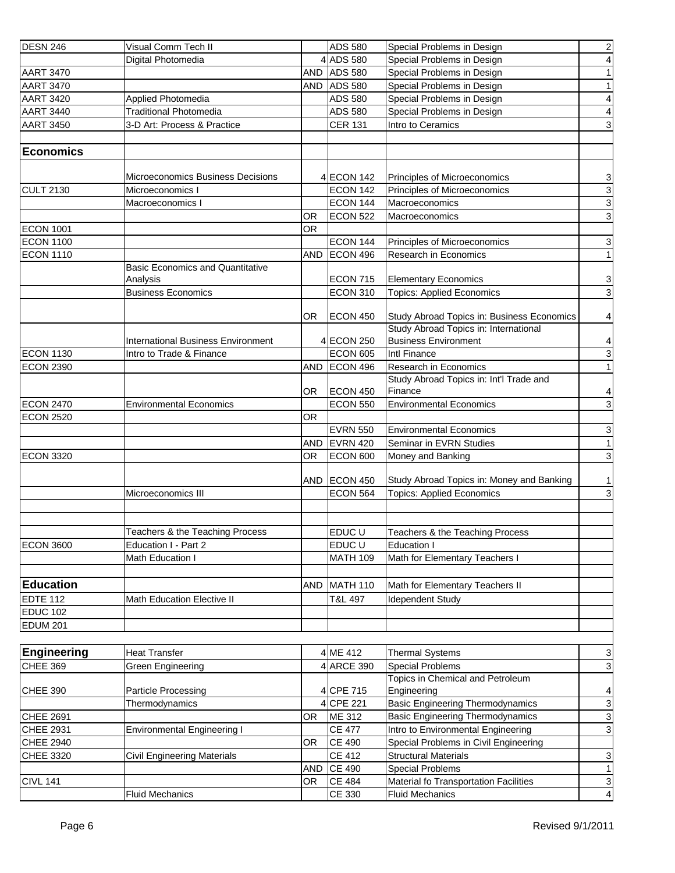| <b>DESN 246</b>    | Visual Comm Tech II                       |            | <b>ADS 580</b>  | Special Problems in Design                 | $\overline{2}$ |
|--------------------|-------------------------------------------|------------|-----------------|--------------------------------------------|----------------|
|                    | Digital Photomedia                        |            | 4 ADS 580       | Special Problems in Design                 | $\vert$        |
| <b>AART 3470</b>   |                                           |            | AND ADS 580     | Special Problems in Design                 | 1              |
| <b>AART 3470</b>   |                                           | <b>AND</b> | <b>ADS 580</b>  | Special Problems in Design                 | 1              |
| <b>AART 3420</b>   | Applied Photomedia                        |            | <b>ADS 580</b>  | Special Problems in Design                 | $\overline{4}$ |
| <b>AART 3440</b>   | <b>Traditional Photomedia</b>             |            | <b>ADS 580</b>  | Special Problems in Design                 | $\overline{4}$ |
| <b>AART 3450</b>   | 3-D Art: Process & Practice               |            | <b>CER 131</b>  | Intro to Ceramics                          | $\mathbf{3}$   |
|                    |                                           |            |                 |                                            |                |
| Economics          |                                           |            |                 |                                            |                |
|                    |                                           |            |                 |                                            |                |
|                    | Microeconomics Business Decisions         |            | 4 ECON 142      | Principles of Microeconomics               | 3              |
| <b>CULT 2130</b>   | Microeconomics I                          |            | <b>ECON 142</b> | Principles of Microeconomics               | $\frac{1}{3}$  |
|                    | Macroeconomics I                          |            | <b>ECON 144</b> | Macroeconomics                             |                |
|                    |                                           | 0R         | <b>ECON 522</b> | Macroeconomics                             |                |
| <b>ECON 1001</b>   |                                           | <b>OR</b>  |                 |                                            |                |
| <b>ECON 1100</b>   |                                           |            | <b>ECON 144</b> | Principles of Microeconomics               | $\mathbf{3}$   |
| <b>ECON 1110</b>   |                                           | <b>AND</b> | ECON 496        | Research in Economics                      | 1              |
|                    | <b>Basic Economics and Quantitative</b>   |            |                 |                                            |                |
|                    | Analysis                                  |            | <b>ECON 715</b> | <b>Elementary Economics</b>                | $\frac{3}{3}$  |
|                    | <b>Business Economics</b>                 |            | <b>ECON 310</b> | <b>Topics: Applied Economics</b>           |                |
|                    |                                           | 0R         | <b>ECON 450</b> | Study Abroad Topics in: Business Economics | $\vert$        |
|                    |                                           |            |                 | Study Abroad Topics in: International      |                |
|                    | <b>International Business Environment</b> |            | 4 ECON 250      | <b>Business Environment</b>                | 4              |
| <b>ECON 1130</b>   | Intro to Trade & Finance                  |            | <b>ECON 605</b> | Intl Finance                               |                |
| <b>ECON 2390</b>   |                                           | <b>AND</b> | ECON 496        | Research in Economics                      | $\frac{3}{1}$  |
|                    |                                           |            |                 | Study Abroad Topics in: Int'l Trade and    |                |
|                    |                                           | OR.        | ECON 450        | Finance                                    | 4              |
| <b>ECON 2470</b>   | <b>Environmental Economics</b>            |            | <b>ECON 550</b> | <b>Environmental Economics</b>             | $\overline{3}$ |
| <b>ECON 2520</b>   |                                           | <b>OR</b>  |                 |                                            |                |
|                    |                                           |            | <b>EVRN 550</b> | <b>Environmental Economics</b>             | $\mathbf{3}$   |
|                    |                                           | <b>AND</b> | EVRN 420        | Seminar in EVRN Studies                    | $\overline{1}$ |
| <b>ECON 3320</b>   |                                           | <b>OR</b>  | <b>ECON 600</b> | Money and Banking                          | $\mathbf{3}$   |
|                    |                                           |            |                 |                                            |                |
|                    |                                           | AND        | ECON 450        | Study Abroad Topics in: Money and Banking  | 1              |
|                    | Microeconomics III                        |            | <b>ECON 564</b> | <b>Topics: Applied Economics</b>           | $\overline{3}$ |
|                    |                                           |            |                 |                                            |                |
|                    |                                           |            |                 |                                            |                |
|                    | Teachers & the Teaching Process           |            | EDUC U          | Teachers & the Teaching Process            |                |
| <b>ECON 3600</b>   | Education I - Part 2                      |            | EDUC U          | <b>Education I</b>                         |                |
|                    | Math Education I                          |            | <b>MATH 109</b> | Math for Elementary Teachers I             |                |
|                    |                                           |            |                 |                                            |                |
| <b>Education</b>   |                                           | AND        | <b>MATH 110</b> | Math for Elementary Teachers II            |                |
| <b>EDTE 112</b>    | <b>Math Education Elective II</b>         |            | T&L 497         | <b>Idependent Study</b>                    |                |
| <b>EDUC 102</b>    |                                           |            |                 |                                            |                |
| <b>EDUM 201</b>    |                                           |            |                 |                                            |                |
|                    |                                           |            |                 |                                            |                |
| <b>Engineering</b> | <b>Heat Transfer</b>                      |            | 4 ME 412        | <b>Thermal Systems</b>                     | 3              |
| <b>CHEE 369</b>    | Green Engineering                         |            | 4 ARCE 390      | <b>Special Problems</b>                    | $\mathbf{3}$   |
|                    |                                           |            |                 | Topics in Chemical and Petroleum           |                |
| CHEE 390           | Particle Processing                       |            | 4 CPE 715       | Engineering                                | $\overline{a}$ |
|                    | Thermodynamics                            |            | 4 CPE 221       | <b>Basic Engineering Thermodynamics</b>    | $\overline{3}$ |
| CHEE 2691          |                                           | OR         | ME 312          | <b>Basic Engineering Thermodynamics</b>    | $\overline{3}$ |
| CHEE 2931          | <b>Environmental Engineering I</b>        |            | <b>CE 477</b>   | Intro to Environmental Engineering         | $\overline{3}$ |
| <b>CHEE 2940</b>   |                                           | OR         | <b>CE 490</b>   | Special Problems in Civil Engineering      |                |
| CHEE 3320          | <b>Civil Engineering Materials</b>        |            | <b>CE 412</b>   | <b>Structural Materials</b>                | $\mathbf{3}$   |
|                    |                                           | <b>AND</b> | CE 490          | <b>Special Problems</b>                    | $\overline{1}$ |
| <b>CIVL 141</b>    |                                           | OR.        | <b>CE 484</b>   | Material fo Transportation Facilities      |                |
|                    | <b>Fluid Mechanics</b>                    |            | CE 330          | <b>Fluid Mechanics</b>                     | $\frac{3}{4}$  |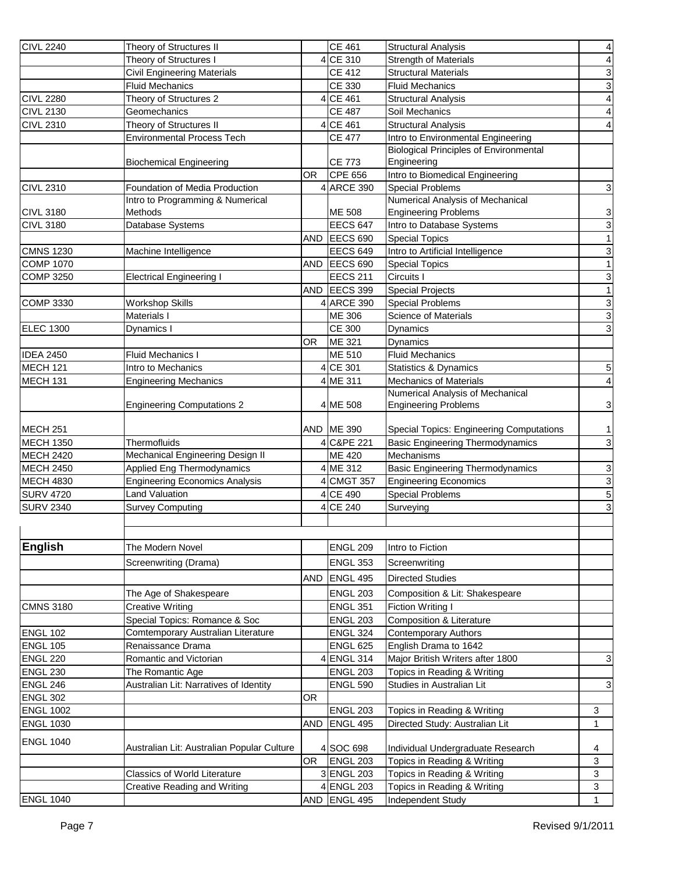| <b>CIVL 2240</b>                   | Theory of Structures II                                             |            | <b>CE 461</b>                      | <b>Structural Analysis</b>                      | $\overline{\mathbf{r}}$   |
|------------------------------------|---------------------------------------------------------------------|------------|------------------------------------|-------------------------------------------------|---------------------------|
|                                    | Theory of Structures I                                              |            | 4 CE 310                           | <b>Strength of Materials</b>                    | $\overline{4}$            |
|                                    | <b>Civil Engineering Materials</b>                                  |            | <b>CE 412</b>                      | <b>Structural Materials</b>                     |                           |
|                                    | <b>Fluid Mechanics</b>                                              |            | CE 330                             | <b>Fluid Mechanics</b>                          | دە                        |
| <b>CIVL 2280</b>                   | Theory of Structures 2                                              |            | 4 CE 461                           | <b>Structural Analysis</b>                      | $\overline{4}$            |
| <b>CIVL 2130</b>                   | Geomechanics                                                        |            | <b>CE 487</b>                      | Soil Mechanics                                  | $\vert$                   |
| <b>CIVL 2310</b>                   | Theory of Structures II                                             |            | 4 CE 461                           | <b>Structural Analysis</b>                      | $\overline{4}$            |
|                                    | <b>Environmental Process Tech</b>                                   |            | <b>CE 477</b>                      | Intro to Environmental Engineering              |                           |
|                                    |                                                                     |            |                                    | <b>Biological Principles of Environmental</b>   |                           |
|                                    | <b>Biochemical Engineering</b>                                      |            | <b>CE 773</b>                      | Engineering                                     |                           |
|                                    |                                                                     | <b>OR</b>  | CPE 656                            | Intro to Biomedical Engineering                 |                           |
| <b>CIVL 2310</b>                   | Foundation of Media Production                                      |            | 4 ARCE 390                         | Special Problems                                | 3                         |
|                                    | Intro to Programming & Numerical                                    |            |                                    | Numerical Analysis of Mechanical                |                           |
| <b>CIVL 3180</b>                   | Methods                                                             |            | ME 508                             | <b>Engineering Problems</b>                     | $\overline{3}$            |
| <b>CIVL 3180</b>                   | Database Systems                                                    |            | <b>EECS 647</b>                    | Intro to Database Systems                       | $\mathsf 3$               |
|                                    |                                                                     | <b>AND</b> | EECS 690                           | <b>Special Topics</b>                           | 1                         |
| <b>CMNS 1230</b>                   | Machine Intelligence                                                |            | <b>EECS 649</b>                    | Intro to Artificial Intelligence                | 3                         |
| <b>COMP 1070</b>                   |                                                                     | <b>AND</b> | EECS 690                           | <b>Special Topics</b>                           | 1                         |
| <b>COMP 3250</b>                   | <b>Electrical Engineering I</b>                                     |            | <b>EECS 211</b>                    | Circuits I                                      | $\ensuremath{\mathsf{3}}$ |
|                                    |                                                                     | <b>AND</b> | <b>EECS 399</b>                    | <b>Special Projects</b>                         | 1                         |
| <b>COMP 3330</b>                   | <b>Workshop Skills</b>                                              |            | 4 ARCE 390                         | <b>Special Problems</b>                         | $\mathbf{3}$              |
|                                    | Materials I                                                         |            | ME 306                             | <b>Science of Materials</b>                     | $\overline{3}$            |
| <b>ELEC 1300</b>                   | Dynamics I                                                          |            | <b>CE 300</b>                      | Dynamics                                        | $\mathbf 3$               |
|                                    |                                                                     | ΟR         | ME 321                             | Dynamics                                        |                           |
| <b>IDEA 2450</b>                   | <b>Fluid Mechanics I</b>                                            |            | ME 510                             | <b>Fluid Mechanics</b>                          |                           |
| MECH <sub>121</sub>                | Intro to Mechanics                                                  |            | 4 CE 301                           | <b>Statistics &amp; Dynamics</b>                | $\overline{5}$            |
| MECH <sub>131</sub>                | <b>Engineering Mechanics</b>                                        |            | 4 ME 311                           | <b>Mechanics of Materials</b>                   | $\overline{4}$            |
|                                    |                                                                     |            |                                    | Numerical Analysis of Mechanical                |                           |
|                                    | <b>Engineering Computations 2</b>                                   |            | 4 ME 508                           | <b>Engineering Problems</b>                     | $\mathbf{3}$              |
|                                    |                                                                     |            |                                    |                                                 |                           |
| <b>MECH 251</b>                    |                                                                     | AND        | ME 390                             | <b>Special Topics: Engineering Computations</b> | 1                         |
| <b>MECH 1350</b>                   | Thermofluids                                                        |            | 4 C&PE 221                         | <b>Basic Engineering Thermodynamics</b>         | 3                         |
| <b>MECH 2420</b>                   | Mechanical Engineering Design II                                    |            | <b>ME 420</b>                      | Mechanisms                                      |                           |
| <b>MECH 2450</b>                   | Applied Eng Thermodynamics                                          |            | 4 ME 312                           | <b>Basic Engineering Thermodynamics</b>         |                           |
| <b>MECH 4830</b>                   | <b>Engineering Economics Analysis</b>                               |            | 4 CMGT 357                         | <b>Engineering Economics</b>                    | <u>ვ</u><br>5             |
| <b>SURV 4720</b>                   | Land Valuation                                                      |            | $\overline{4}$ CE 490              | <b>Special Problems</b>                         |                           |
| <b>SURV 2340</b>                   | <b>Survey Computing</b>                                             |            | 4 CE 240                           | Surveying                                       | $\overline{3}$            |
|                                    |                                                                     |            |                                    |                                                 |                           |
|                                    |                                                                     |            |                                    |                                                 |                           |
| English                            | The Modern Novel                                                    |            | <b>ENGL 209</b>                    | Intro to Fiction                                |                           |
|                                    | Screenwriting (Drama)                                               |            | <b>ENGL 353</b>                    | Screenwriting                                   |                           |
|                                    |                                                                     | <b>AND</b> | ENGL 495                           | <b>Directed Studies</b>                         |                           |
|                                    |                                                                     |            | <b>ENGL 203</b>                    |                                                 |                           |
|                                    | The Age of Shakespeare<br><b>Creative Writing</b>                   |            |                                    | Composition & Lit: Shakespeare                  |                           |
| <b>CMNS 3180</b>                   |                                                                     |            | <b>ENGL 351</b>                    | <b>Fiction Writing I</b>                        |                           |
|                                    | Special Topics: Romance & Soc<br>Comtemporary Australian Literature |            | <b>ENGL 203</b>                    | <b>Composition &amp; Literature</b>             |                           |
| <b>ENGL 102</b><br><b>ENGL 105</b> | Renaissance Drama                                                   |            | <b>ENGL 324</b><br><b>ENGL 625</b> | Contemporary Authors<br>English Drama to 1642   |                           |
|                                    |                                                                     |            |                                    |                                                 |                           |
| ENGL 220<br>ENGL 230               | Romantic and Victorian                                              |            | 4ENGL 314<br><b>ENGL 203</b>       | Major British Writers after 1800                | 3                         |
|                                    | The Romantic Age                                                    |            |                                    | Topics in Reading & Writing                     |                           |
| ENGL 246                           | Australian Lit: Narratives of Identity                              |            | <b>ENGL 590</b>                    | Studies in Australian Lit                       | $\mathbf 3$               |
| ENGL 302<br><b>ENGL 1002</b>       |                                                                     | 0R         | <b>ENGL 203</b>                    |                                                 |                           |
|                                    |                                                                     |            |                                    | Topics in Reading & Writing                     | 3                         |
| <b>ENGL 1030</b>                   |                                                                     | <b>AND</b> | ENGL 495                           | Directed Study: Australian Lit                  | $\mathbf{1}$              |
| <b>ENGL 1040</b>                   |                                                                     |            |                                    | Individual Undergraduate Research               |                           |
|                                    | Australian Lit: Australian Popular Culture                          | <b>OR</b>  | 4 SOC 698<br><b>ENGL 203</b>       | Topics in Reading & Writing                     | 4                         |
|                                    | <b>Classics of World Literature</b>                                 |            |                                    |                                                 | 3                         |
|                                    |                                                                     |            | 3 ENGL 203                         | Topics in Reading & Writing                     | 3<br>3                    |
|                                    | <b>Creative Reading and Writing</b>                                 |            | 4 ENGL 203                         | Topics in Reading & Writing                     |                           |
| <b>ENGL 1040</b>                   |                                                                     | AND        | ENGL 495                           | Independent Study                               | 1                         |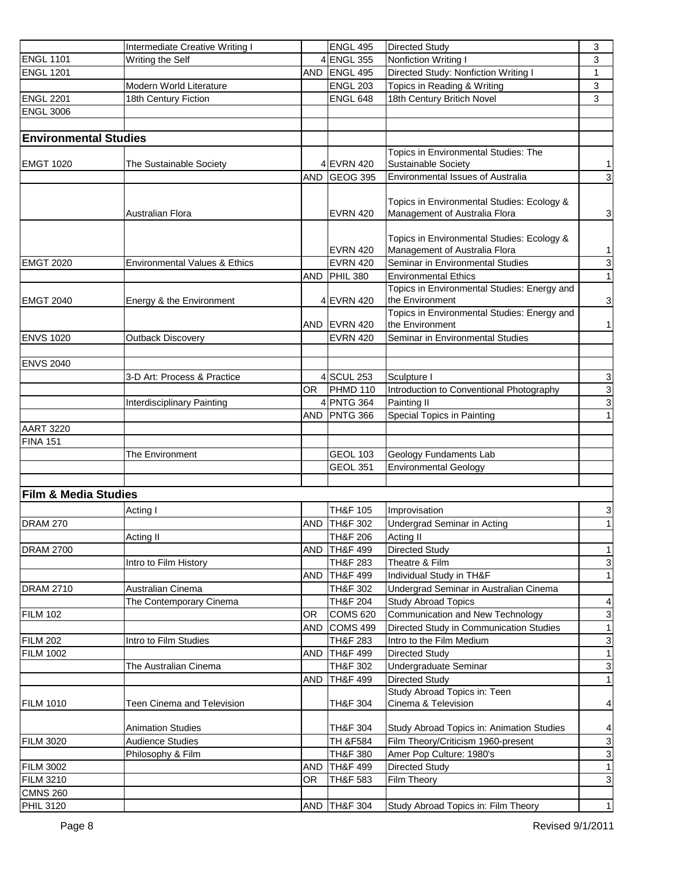|                                 | Intermediate Creative Writing I          |            | <b>ENGL 495</b>     | <b>Directed Study</b>                                                           | 3              |
|---------------------------------|------------------------------------------|------------|---------------------|---------------------------------------------------------------------------------|----------------|
| <b>ENGL 1101</b>                | Writing the Self                         |            | 4 ENGL 355          | Nonfiction Writing I                                                            | 3              |
| <b>ENGL 1201</b>                |                                          | <b>AND</b> | ENGL 495            | Directed Study: Nonfiction Writing I                                            | 1              |
|                                 | Modern World Literature                  |            | <b>ENGL 203</b>     | Topics in Reading & Writing                                                     | 3              |
| <b>ENGL 2201</b>                | 18th Century Fiction                     |            | <b>ENGL 648</b>     | 18th Century Britich Novel                                                      | 3              |
| <b>ENGL 3006</b>                |                                          |            |                     |                                                                                 |                |
|                                 |                                          |            |                     |                                                                                 |                |
| <b>Environmental Studies</b>    |                                          |            |                     |                                                                                 |                |
|                                 |                                          |            |                     | Topics in Environmental Studies: The                                            |                |
| <b>EMGT 1020</b>                | <b>The Sustainable Society</b>           |            | 4 EVRN 420          | <b>Sustainable Society</b>                                                      | 1              |
|                                 |                                          | <b>AND</b> | <b>GEOG 395</b>     | Environmental Issues of Australia                                               | $\mathbf 3$    |
|                                 |                                          |            |                     |                                                                                 |                |
|                                 |                                          |            |                     | Topics in Environmental Studies: Ecology &                                      |                |
|                                 | Australian Flora                         |            | <b>EVRN 420</b>     | Management of Australia Flora                                                   | 3              |
|                                 |                                          |            |                     |                                                                                 |                |
|                                 |                                          |            |                     | Topics in Environmental Studies: Ecology &                                      |                |
|                                 |                                          |            | <b>EVRN 420</b>     | Management of Australia Flora                                                   | 1              |
| <b>EMGT 2020</b>                | <b>Environmental Values &amp; Ethics</b> |            | EVRN 420            | Seminar in Environmental Studies                                                | $\frac{3}{1}$  |
|                                 |                                          | AND        | PHIL 380            | <b>Environmental Ethics</b>                                                     |                |
|                                 |                                          |            |                     | Topics in Environmental Studies: Energy and                                     |                |
| <b>EMGT 2040</b>                | Energy & the Environment                 |            | 4 EVRN 420          | the Environment<br>Topics in Environmental Studies: Energy and                  | $\mathbf{3}$   |
|                                 |                                          |            | AND EVRN 420        | the Environment                                                                 | 1              |
| <b>ENVS 1020</b>                | <b>Outback Discovery</b>                 |            | <b>EVRN 420</b>     | Seminar in Environmental Studies                                                |                |
|                                 |                                          |            |                     |                                                                                 |                |
| <b>ENVS 2040</b>                |                                          |            |                     |                                                                                 |                |
|                                 | 3-D Art: Process & Practice              |            | 4 SCUL 253          | Sculpture I                                                                     | 3              |
|                                 |                                          | OR.        | PHMD 110            | Introduction to Conventional Photography                                        | $\overline{3}$ |
|                                 | <b>Interdisciplinary Painting</b>        |            | 4 PNTG 364          | Painting II                                                                     | $\mathsf 3$    |
|                                 |                                          | <b>AND</b> | PNTG 366            | Special Topics in Painting                                                      | 1              |
| <b>AART 3220</b>                |                                          |            |                     |                                                                                 |                |
| <b>FINA 151</b>                 |                                          |            |                     |                                                                                 |                |
|                                 | The Environment                          |            | <b>GEOL 103</b>     | <b>Geology Fundaments Lab</b>                                                   |                |
|                                 |                                          |            | <b>GEOL 351</b>     | <b>Environmental Geology</b>                                                    |                |
|                                 |                                          |            |                     |                                                                                 |                |
| <b>Film &amp; Media Studies</b> |                                          |            |                     |                                                                                 |                |
|                                 |                                          |            |                     |                                                                                 |                |
|                                 | Acting I                                 |            | TH&F 105            | Improvisation                                                                   | $\mathbf{3}$   |
| <b>DRAM 270</b>                 |                                          | <b>AND</b> | TH&F 302            | Undergrad Seminar in Acting                                                     | 1              |
|                                 | Acting II                                |            | TH&F 206            | Acting II                                                                       |                |
| <b>DRAM 2700</b>                |                                          | AND        | <b>TH&amp;F 499</b> | <b>Directed Study</b>                                                           | 1              |
|                                 | Intro to Film History                    |            | TH&F 283            | Theatre & Film                                                                  | $\mathbf{3}$   |
|                                 |                                          | <b>AND</b> | TH&F 499            | Individual Study in TH&F                                                        | 1              |
| <b>DRAM 2710</b>                | Australian Cinema                        |            | <b>TH&amp;F 302</b> | Undergrad Seminar in Australian Cinema                                          |                |
|                                 | The Contemporary Cinema                  |            | <b>TH&amp;F 204</b> | <b>Study Abroad Topics</b>                                                      | $\vert$        |
| <b>FILM 102</b>                 |                                          | <b>OR</b>  | <b>COMS 620</b>     | Communication and New Technology                                                | $\mathbf{3}$   |
|                                 |                                          | <b>AND</b> | <b>COMS 499</b>     | Directed Study in Communication Studies                                         | 1              |
| <b>FILM 202</b>                 | Intro to Film Studies                    |            | <b>TH&amp;F 283</b> | Intro to the Film Medium                                                        | $\mathbf{3}$   |
| <b>FILM 1002</b>                |                                          | <b>AND</b> | <b>TH&amp;F 499</b> | <b>Directed Study</b>                                                           | 1              |
|                                 | The Australian Cinema                    |            | <b>TH&amp;F 302</b> | Undergraduate Seminar                                                           | $\mathbf{3}$   |
|                                 |                                          | <b>AND</b> | <b>TH&amp;F 499</b> | <b>Directed Study</b>                                                           | 1              |
|                                 |                                          |            |                     | Study Abroad Topics in: Teen                                                    |                |
| <b>FILM 1010</b>                | Teen Cinema and Television               |            | <b>TH&amp;F 304</b> | Cinema & Television                                                             | $\vert$        |
|                                 |                                          |            |                     |                                                                                 |                |
| <b>FILM 3020</b>                | <b>Animation Studies</b>                 |            | <b>TH&amp;F 304</b> | Study Abroad Topics in: Animation Studies<br>Film Theory/Criticism 1960-present | $\vert$        |
|                                 | <b>Audience Studies</b>                  |            | <b>TH &amp;F584</b> |                                                                                 | $\mathbf{3}$   |
|                                 | Philosophy & Film                        |            | <b>TH&amp;F 380</b> | Amer Pop Culture: 1980's                                                        | $\mathbf{3}$   |
| <b>FILM 3002</b>                |                                          | <b>AND</b> | <b>TH&amp;F 499</b> | <b>Directed Study</b>                                                           | 1              |
| <b>FILM 3210</b>                |                                          | <b>OR</b>  | <b>TH&amp;F 583</b> | Film Theory                                                                     | $\mathbf{3}$   |
| <b>CMNS 260</b>                 |                                          |            |                     |                                                                                 |                |
| <b>PHIL 3120</b>                |                                          | AND        | <b>TH&amp;F 304</b> | Study Abroad Topics in: Film Theory                                             | 1              |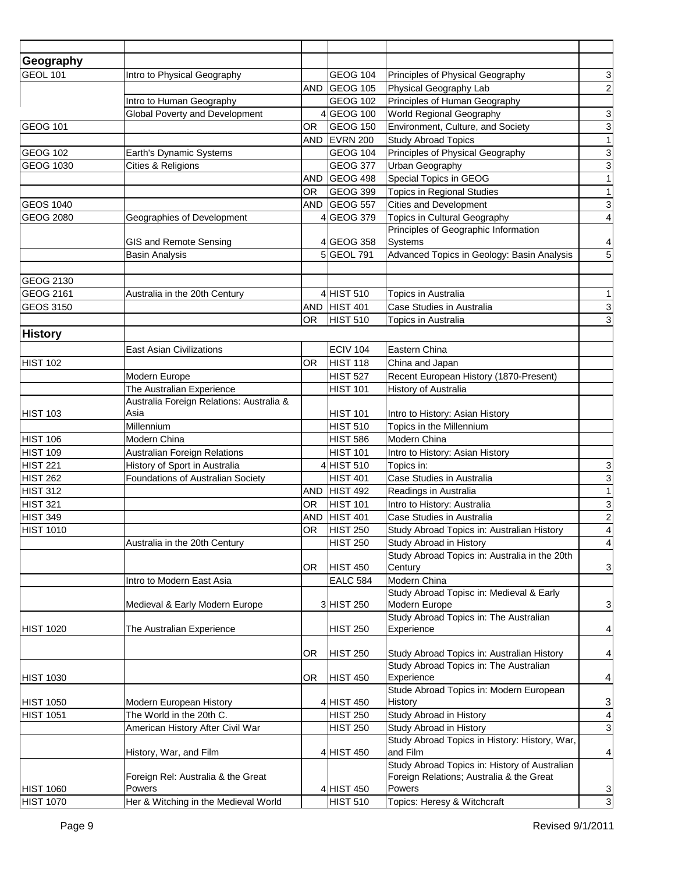| Geography<br><b>GEOL 101</b><br>GEOG 104<br>Principles of Physical Geography<br>$\ensuremath{\mathsf{3}}$<br>Intro to Physical Geography<br>GEOG 105<br>$\sqrt{2}$<br><b>AND</b><br>Physical Geography Lab<br>Intro to Human Geography<br><b>GEOG 102</b><br>Principles of Human Geography<br>$\mathbf{3}$<br>GEOG 100<br>Global Poverty and Development<br>World Regional Geography<br>ω<br><b>GEOG 101</b><br><b>GEOG 150</b><br>Environment, Culture, and Society<br>OR<br>1<br>EVRN 200<br><b>Study Abroad Topics</b><br><b>AND</b><br>$\frac{3}{1}$<br><b>GEOG 104</b><br>Principles of Physical Geography<br><b>GEOG 102</b><br>Earth's Dynamic Systems<br><b>GEOG 1030</b><br><b>GEOG 377</b><br>Urban Geography<br>Cities & Religions<br>Special Topics in GEOG<br>GEOG 498<br><b>AND</b><br>1<br><b>GEOG 399</b><br><b>Topics in Regional Studies</b><br><b>OR</b><br>$\overline{3}$<br>GEOG 557<br><b>Cities and Development</b><br><b>GEOS 1040</b><br>AND<br>$\overline{4}$<br><b>GEOG 2080</b><br>GEOG 379<br>Topics in Cultural Geography<br>Geographies of Development<br>Principles of Geographic Information<br>Systems<br>GIS and Remote Sensing<br>4GEOG 358<br>$\overline{a}$<br>5<br>5GEOL 791<br>Advanced Topics in Geology: Basin Analysis<br><b>Basin Analysis</b><br><b>GEOG 2130</b><br>GEOG 2161<br>4 HIST 510<br>1<br>Australia in the 20th Century<br>Topics in Australia<br><b>GEOS 3150</b><br><b>HIST 401</b><br><b>AND</b><br>3<br>Case Studies in Australia<br>$\mathbf{3}$<br>HIST <sub>510</sub><br>OR.<br>Topics in Australia<br><b>History</b><br><b>ECIV 104</b><br><b>East Asian Civilizations</b><br>Eastern China<br><b>HIST 102</b><br>HIST 118<br>OR<br>China and Japan<br>Recent European History (1870-Present)<br>Modern Europe<br><b>HIST 527</b><br>The Australian Experience<br>History of Australia<br><b>HIST 101</b><br>Australia Foreign Relations: Australia &<br>Asia<br>Intro to History: Asian History<br><b>HIST 103</b><br><b>HIST 101</b><br><b>HIST 510</b><br>Topics in the Millennium<br>Millennium<br><b>HIST 106</b><br>Modern China<br>Modern China<br><b>HIST 586</b><br><b>HIST 109</b><br><b>Australian Foreign Relations</b><br><b>HIST 101</b><br>Intro to History: Asian History<br><b>HIST 221</b><br>History of Sport in Australia<br>HIST <sub>510</sub><br>Topics in:<br>$\mathsf 3$<br>$\overline{3}$<br><b>HIST 262</b><br>Foundations of Australian Society<br><b>HIST 401</b><br>Case Studies in Australia<br>$\mathbf{1}$<br><b>HIST 312</b><br>HIST <sub>492</sub><br>Readings in Australia<br><b>AND</b><br><b>HIST 321</b><br>3<br><b>OR</b><br>HIST <sub>101</sub><br>Intro to History: Australia<br><b>HIST 349</b><br><b>HIST 401</b><br><b>AND</b><br>Case Studies in Australia<br>$\overline{a}$<br>$\overline{\mathbf{A}}$<br><b>HIST 1010</b><br><b>HIST 250</b><br>OR<br>Study Abroad Topics in: Australian History<br>$\overline{4}$<br>Study Abroad in History<br><b>HIST 250</b><br>Australia in the 20th Century<br>Study Abroad Topics in: Australia in the 20th<br>$\mathbf{3}$<br>HIST <sub>450</sub><br>Century<br>OR.<br>Modern China<br>Intro to Modern East Asia<br><b>EALC 584</b><br>Study Abroad Topisc in: Medieval & Early<br>3 HIST 250<br>Modern Europe<br>$\mathbf{3}$<br>Medieval & Early Modern Europe<br>Study Abroad Topics in: The Australian<br>Experience<br>$\vert$<br><b>HIST 1020</b><br>The Australian Experience<br><b>HIST 250</b><br>HIST <sub>250</sub><br>$\vert$<br>OR.<br>Study Abroad Topics in: Australian History<br>Study Abroad Topics in: The Australian<br>$\vert 4 \vert$<br><b>HIST 1030</b><br>OR.<br>HIST <sub>450</sub><br>Experience<br>Stude Abroad Topics in: Modern European<br>$\mathsf 3$<br><b>HIST 1050</b><br>4 HIST 450<br>History<br>Modern European History<br><b>HIST 1051</b><br>The World in the 20th C.<br><b>HIST 250</b><br>Study Abroad in History<br>$\vert$<br>$\mathbf{3}$<br>Study Abroad in History<br>American History After Civil War<br><b>HIST 250</b><br>Study Abroad Topics in History: History, War,<br>and Film<br>History, War, and Film<br>4 HIST 450<br>$\vert$<br>Study Abroad Topics in: History of Australian<br>Foreign Relations; Australia & the Great<br>Foreign Rel: Australia & the Great<br><b>HIST 1060</b><br>Powers<br>4 HIST 450<br>Powers<br>$\overline{3}$<br>$\overline{3}$<br><b>HIST 510</b><br>Her & Witching in the Medieval World<br>Topics: Heresy & Witchcraft |                  |  |  |  |
|-------------------------------------------------------------------------------------------------------------------------------------------------------------------------------------------------------------------------------------------------------------------------------------------------------------------------------------------------------------------------------------------------------------------------------------------------------------------------------------------------------------------------------------------------------------------------------------------------------------------------------------------------------------------------------------------------------------------------------------------------------------------------------------------------------------------------------------------------------------------------------------------------------------------------------------------------------------------------------------------------------------------------------------------------------------------------------------------------------------------------------------------------------------------------------------------------------------------------------------------------------------------------------------------------------------------------------------------------------------------------------------------------------------------------------------------------------------------------------------------------------------------------------------------------------------------------------------------------------------------------------------------------------------------------------------------------------------------------------------------------------------------------------------------------------------------------------------------------------------------------------------------------------------------------------------------------------------------------------------------------------------------------------------------------------------------------------------------------------------------------------------------------------------------------------------------------------------------------------------------------------------------------------------------------------------------------------------------------------------------------------------------------------------------------------------------------------------------------------------------------------------------------------------------------------------------------------------------------------------------------------------------------------------------------------------------------------------------------------------------------------------------------------------------------------------------------------------------------------------------------------------------------------------------------------------------------------------------------------------------------------------------------------------------------------------------------------------------------------------------------------------------------------------------------------------------------------------------------------------------------------------------------------------------------------------------------------------------------------------------------------------------------------------------------------------------------------------------------------------------------------------------------------------------------------------------------------------------------------------------------------------------------------------------------------------------------------------------------------------------------------------------------------------------------------------------------------------------------------------------------------------------------------------------------------------------------------------------------------------------------------------------------------------------------------------------------------------------------------------------------------------------------------------------------------------------------------------------------------------------------------------------------------------------------------------------------------------------------------------------------------------------------------------------------------------------------------------------------|------------------|--|--|--|
|                                                                                                                                                                                                                                                                                                                                                                                                                                                                                                                                                                                                                                                                                                                                                                                                                                                                                                                                                                                                                                                                                                                                                                                                                                                                                                                                                                                                                                                                                                                                                                                                                                                                                                                                                                                                                                                                                                                                                                                                                                                                                                                                                                                                                                                                                                                                                                                                                                                                                                                                                                                                                                                                                                                                                                                                                                                                                                                                                                                                                                                                                                                                                                                                                                                                                                                                                                                                                                                                                                                                                                                                                                                                                                                                                                                                                                                                                                                                                                                                                                                                                                                                                                                                                                                                                                                                                                                                                                                                         |                  |  |  |  |
|                                                                                                                                                                                                                                                                                                                                                                                                                                                                                                                                                                                                                                                                                                                                                                                                                                                                                                                                                                                                                                                                                                                                                                                                                                                                                                                                                                                                                                                                                                                                                                                                                                                                                                                                                                                                                                                                                                                                                                                                                                                                                                                                                                                                                                                                                                                                                                                                                                                                                                                                                                                                                                                                                                                                                                                                                                                                                                                                                                                                                                                                                                                                                                                                                                                                                                                                                                                                                                                                                                                                                                                                                                                                                                                                                                                                                                                                                                                                                                                                                                                                                                                                                                                                                                                                                                                                                                                                                                                                         |                  |  |  |  |
|                                                                                                                                                                                                                                                                                                                                                                                                                                                                                                                                                                                                                                                                                                                                                                                                                                                                                                                                                                                                                                                                                                                                                                                                                                                                                                                                                                                                                                                                                                                                                                                                                                                                                                                                                                                                                                                                                                                                                                                                                                                                                                                                                                                                                                                                                                                                                                                                                                                                                                                                                                                                                                                                                                                                                                                                                                                                                                                                                                                                                                                                                                                                                                                                                                                                                                                                                                                                                                                                                                                                                                                                                                                                                                                                                                                                                                                                                                                                                                                                                                                                                                                                                                                                                                                                                                                                                                                                                                                                         |                  |  |  |  |
|                                                                                                                                                                                                                                                                                                                                                                                                                                                                                                                                                                                                                                                                                                                                                                                                                                                                                                                                                                                                                                                                                                                                                                                                                                                                                                                                                                                                                                                                                                                                                                                                                                                                                                                                                                                                                                                                                                                                                                                                                                                                                                                                                                                                                                                                                                                                                                                                                                                                                                                                                                                                                                                                                                                                                                                                                                                                                                                                                                                                                                                                                                                                                                                                                                                                                                                                                                                                                                                                                                                                                                                                                                                                                                                                                                                                                                                                                                                                                                                                                                                                                                                                                                                                                                                                                                                                                                                                                                                                         |                  |  |  |  |
|                                                                                                                                                                                                                                                                                                                                                                                                                                                                                                                                                                                                                                                                                                                                                                                                                                                                                                                                                                                                                                                                                                                                                                                                                                                                                                                                                                                                                                                                                                                                                                                                                                                                                                                                                                                                                                                                                                                                                                                                                                                                                                                                                                                                                                                                                                                                                                                                                                                                                                                                                                                                                                                                                                                                                                                                                                                                                                                                                                                                                                                                                                                                                                                                                                                                                                                                                                                                                                                                                                                                                                                                                                                                                                                                                                                                                                                                                                                                                                                                                                                                                                                                                                                                                                                                                                                                                                                                                                                                         |                  |  |  |  |
|                                                                                                                                                                                                                                                                                                                                                                                                                                                                                                                                                                                                                                                                                                                                                                                                                                                                                                                                                                                                                                                                                                                                                                                                                                                                                                                                                                                                                                                                                                                                                                                                                                                                                                                                                                                                                                                                                                                                                                                                                                                                                                                                                                                                                                                                                                                                                                                                                                                                                                                                                                                                                                                                                                                                                                                                                                                                                                                                                                                                                                                                                                                                                                                                                                                                                                                                                                                                                                                                                                                                                                                                                                                                                                                                                                                                                                                                                                                                                                                                                                                                                                                                                                                                                                                                                                                                                                                                                                                                         |                  |  |  |  |
|                                                                                                                                                                                                                                                                                                                                                                                                                                                                                                                                                                                                                                                                                                                                                                                                                                                                                                                                                                                                                                                                                                                                                                                                                                                                                                                                                                                                                                                                                                                                                                                                                                                                                                                                                                                                                                                                                                                                                                                                                                                                                                                                                                                                                                                                                                                                                                                                                                                                                                                                                                                                                                                                                                                                                                                                                                                                                                                                                                                                                                                                                                                                                                                                                                                                                                                                                                                                                                                                                                                                                                                                                                                                                                                                                                                                                                                                                                                                                                                                                                                                                                                                                                                                                                                                                                                                                                                                                                                                         |                  |  |  |  |
|                                                                                                                                                                                                                                                                                                                                                                                                                                                                                                                                                                                                                                                                                                                                                                                                                                                                                                                                                                                                                                                                                                                                                                                                                                                                                                                                                                                                                                                                                                                                                                                                                                                                                                                                                                                                                                                                                                                                                                                                                                                                                                                                                                                                                                                                                                                                                                                                                                                                                                                                                                                                                                                                                                                                                                                                                                                                                                                                                                                                                                                                                                                                                                                                                                                                                                                                                                                                                                                                                                                                                                                                                                                                                                                                                                                                                                                                                                                                                                                                                                                                                                                                                                                                                                                                                                                                                                                                                                                                         |                  |  |  |  |
|                                                                                                                                                                                                                                                                                                                                                                                                                                                                                                                                                                                                                                                                                                                                                                                                                                                                                                                                                                                                                                                                                                                                                                                                                                                                                                                                                                                                                                                                                                                                                                                                                                                                                                                                                                                                                                                                                                                                                                                                                                                                                                                                                                                                                                                                                                                                                                                                                                                                                                                                                                                                                                                                                                                                                                                                                                                                                                                                                                                                                                                                                                                                                                                                                                                                                                                                                                                                                                                                                                                                                                                                                                                                                                                                                                                                                                                                                                                                                                                                                                                                                                                                                                                                                                                                                                                                                                                                                                                                         |                  |  |  |  |
|                                                                                                                                                                                                                                                                                                                                                                                                                                                                                                                                                                                                                                                                                                                                                                                                                                                                                                                                                                                                                                                                                                                                                                                                                                                                                                                                                                                                                                                                                                                                                                                                                                                                                                                                                                                                                                                                                                                                                                                                                                                                                                                                                                                                                                                                                                                                                                                                                                                                                                                                                                                                                                                                                                                                                                                                                                                                                                                                                                                                                                                                                                                                                                                                                                                                                                                                                                                                                                                                                                                                                                                                                                                                                                                                                                                                                                                                                                                                                                                                                                                                                                                                                                                                                                                                                                                                                                                                                                                                         |                  |  |  |  |
|                                                                                                                                                                                                                                                                                                                                                                                                                                                                                                                                                                                                                                                                                                                                                                                                                                                                                                                                                                                                                                                                                                                                                                                                                                                                                                                                                                                                                                                                                                                                                                                                                                                                                                                                                                                                                                                                                                                                                                                                                                                                                                                                                                                                                                                                                                                                                                                                                                                                                                                                                                                                                                                                                                                                                                                                                                                                                                                                                                                                                                                                                                                                                                                                                                                                                                                                                                                                                                                                                                                                                                                                                                                                                                                                                                                                                                                                                                                                                                                                                                                                                                                                                                                                                                                                                                                                                                                                                                                                         |                  |  |  |  |
|                                                                                                                                                                                                                                                                                                                                                                                                                                                                                                                                                                                                                                                                                                                                                                                                                                                                                                                                                                                                                                                                                                                                                                                                                                                                                                                                                                                                                                                                                                                                                                                                                                                                                                                                                                                                                                                                                                                                                                                                                                                                                                                                                                                                                                                                                                                                                                                                                                                                                                                                                                                                                                                                                                                                                                                                                                                                                                                                                                                                                                                                                                                                                                                                                                                                                                                                                                                                                                                                                                                                                                                                                                                                                                                                                                                                                                                                                                                                                                                                                                                                                                                                                                                                                                                                                                                                                                                                                                                                         |                  |  |  |  |
|                                                                                                                                                                                                                                                                                                                                                                                                                                                                                                                                                                                                                                                                                                                                                                                                                                                                                                                                                                                                                                                                                                                                                                                                                                                                                                                                                                                                                                                                                                                                                                                                                                                                                                                                                                                                                                                                                                                                                                                                                                                                                                                                                                                                                                                                                                                                                                                                                                                                                                                                                                                                                                                                                                                                                                                                                                                                                                                                                                                                                                                                                                                                                                                                                                                                                                                                                                                                                                                                                                                                                                                                                                                                                                                                                                                                                                                                                                                                                                                                                                                                                                                                                                                                                                                                                                                                                                                                                                                                         |                  |  |  |  |
|                                                                                                                                                                                                                                                                                                                                                                                                                                                                                                                                                                                                                                                                                                                                                                                                                                                                                                                                                                                                                                                                                                                                                                                                                                                                                                                                                                                                                                                                                                                                                                                                                                                                                                                                                                                                                                                                                                                                                                                                                                                                                                                                                                                                                                                                                                                                                                                                                                                                                                                                                                                                                                                                                                                                                                                                                                                                                                                                                                                                                                                                                                                                                                                                                                                                                                                                                                                                                                                                                                                                                                                                                                                                                                                                                                                                                                                                                                                                                                                                                                                                                                                                                                                                                                                                                                                                                                                                                                                                         |                  |  |  |  |
|                                                                                                                                                                                                                                                                                                                                                                                                                                                                                                                                                                                                                                                                                                                                                                                                                                                                                                                                                                                                                                                                                                                                                                                                                                                                                                                                                                                                                                                                                                                                                                                                                                                                                                                                                                                                                                                                                                                                                                                                                                                                                                                                                                                                                                                                                                                                                                                                                                                                                                                                                                                                                                                                                                                                                                                                                                                                                                                                                                                                                                                                                                                                                                                                                                                                                                                                                                                                                                                                                                                                                                                                                                                                                                                                                                                                                                                                                                                                                                                                                                                                                                                                                                                                                                                                                                                                                                                                                                                                         |                  |  |  |  |
|                                                                                                                                                                                                                                                                                                                                                                                                                                                                                                                                                                                                                                                                                                                                                                                                                                                                                                                                                                                                                                                                                                                                                                                                                                                                                                                                                                                                                                                                                                                                                                                                                                                                                                                                                                                                                                                                                                                                                                                                                                                                                                                                                                                                                                                                                                                                                                                                                                                                                                                                                                                                                                                                                                                                                                                                                                                                                                                                                                                                                                                                                                                                                                                                                                                                                                                                                                                                                                                                                                                                                                                                                                                                                                                                                                                                                                                                                                                                                                                                                                                                                                                                                                                                                                                                                                                                                                                                                                                                         |                  |  |  |  |
|                                                                                                                                                                                                                                                                                                                                                                                                                                                                                                                                                                                                                                                                                                                                                                                                                                                                                                                                                                                                                                                                                                                                                                                                                                                                                                                                                                                                                                                                                                                                                                                                                                                                                                                                                                                                                                                                                                                                                                                                                                                                                                                                                                                                                                                                                                                                                                                                                                                                                                                                                                                                                                                                                                                                                                                                                                                                                                                                                                                                                                                                                                                                                                                                                                                                                                                                                                                                                                                                                                                                                                                                                                                                                                                                                                                                                                                                                                                                                                                                                                                                                                                                                                                                                                                                                                                                                                                                                                                                         |                  |  |  |  |
|                                                                                                                                                                                                                                                                                                                                                                                                                                                                                                                                                                                                                                                                                                                                                                                                                                                                                                                                                                                                                                                                                                                                                                                                                                                                                                                                                                                                                                                                                                                                                                                                                                                                                                                                                                                                                                                                                                                                                                                                                                                                                                                                                                                                                                                                                                                                                                                                                                                                                                                                                                                                                                                                                                                                                                                                                                                                                                                                                                                                                                                                                                                                                                                                                                                                                                                                                                                                                                                                                                                                                                                                                                                                                                                                                                                                                                                                                                                                                                                                                                                                                                                                                                                                                                                                                                                                                                                                                                                                         |                  |  |  |  |
|                                                                                                                                                                                                                                                                                                                                                                                                                                                                                                                                                                                                                                                                                                                                                                                                                                                                                                                                                                                                                                                                                                                                                                                                                                                                                                                                                                                                                                                                                                                                                                                                                                                                                                                                                                                                                                                                                                                                                                                                                                                                                                                                                                                                                                                                                                                                                                                                                                                                                                                                                                                                                                                                                                                                                                                                                                                                                                                                                                                                                                                                                                                                                                                                                                                                                                                                                                                                                                                                                                                                                                                                                                                                                                                                                                                                                                                                                                                                                                                                                                                                                                                                                                                                                                                                                                                                                                                                                                                                         |                  |  |  |  |
|                                                                                                                                                                                                                                                                                                                                                                                                                                                                                                                                                                                                                                                                                                                                                                                                                                                                                                                                                                                                                                                                                                                                                                                                                                                                                                                                                                                                                                                                                                                                                                                                                                                                                                                                                                                                                                                                                                                                                                                                                                                                                                                                                                                                                                                                                                                                                                                                                                                                                                                                                                                                                                                                                                                                                                                                                                                                                                                                                                                                                                                                                                                                                                                                                                                                                                                                                                                                                                                                                                                                                                                                                                                                                                                                                                                                                                                                                                                                                                                                                                                                                                                                                                                                                                                                                                                                                                                                                                                                         |                  |  |  |  |
|                                                                                                                                                                                                                                                                                                                                                                                                                                                                                                                                                                                                                                                                                                                                                                                                                                                                                                                                                                                                                                                                                                                                                                                                                                                                                                                                                                                                                                                                                                                                                                                                                                                                                                                                                                                                                                                                                                                                                                                                                                                                                                                                                                                                                                                                                                                                                                                                                                                                                                                                                                                                                                                                                                                                                                                                                                                                                                                                                                                                                                                                                                                                                                                                                                                                                                                                                                                                                                                                                                                                                                                                                                                                                                                                                                                                                                                                                                                                                                                                                                                                                                                                                                                                                                                                                                                                                                                                                                                                         |                  |  |  |  |
|                                                                                                                                                                                                                                                                                                                                                                                                                                                                                                                                                                                                                                                                                                                                                                                                                                                                                                                                                                                                                                                                                                                                                                                                                                                                                                                                                                                                                                                                                                                                                                                                                                                                                                                                                                                                                                                                                                                                                                                                                                                                                                                                                                                                                                                                                                                                                                                                                                                                                                                                                                                                                                                                                                                                                                                                                                                                                                                                                                                                                                                                                                                                                                                                                                                                                                                                                                                                                                                                                                                                                                                                                                                                                                                                                                                                                                                                                                                                                                                                                                                                                                                                                                                                                                                                                                                                                                                                                                                                         |                  |  |  |  |
|                                                                                                                                                                                                                                                                                                                                                                                                                                                                                                                                                                                                                                                                                                                                                                                                                                                                                                                                                                                                                                                                                                                                                                                                                                                                                                                                                                                                                                                                                                                                                                                                                                                                                                                                                                                                                                                                                                                                                                                                                                                                                                                                                                                                                                                                                                                                                                                                                                                                                                                                                                                                                                                                                                                                                                                                                                                                                                                                                                                                                                                                                                                                                                                                                                                                                                                                                                                                                                                                                                                                                                                                                                                                                                                                                                                                                                                                                                                                                                                                                                                                                                                                                                                                                                                                                                                                                                                                                                                                         |                  |  |  |  |
|                                                                                                                                                                                                                                                                                                                                                                                                                                                                                                                                                                                                                                                                                                                                                                                                                                                                                                                                                                                                                                                                                                                                                                                                                                                                                                                                                                                                                                                                                                                                                                                                                                                                                                                                                                                                                                                                                                                                                                                                                                                                                                                                                                                                                                                                                                                                                                                                                                                                                                                                                                                                                                                                                                                                                                                                                                                                                                                                                                                                                                                                                                                                                                                                                                                                                                                                                                                                                                                                                                                                                                                                                                                                                                                                                                                                                                                                                                                                                                                                                                                                                                                                                                                                                                                                                                                                                                                                                                                                         |                  |  |  |  |
|                                                                                                                                                                                                                                                                                                                                                                                                                                                                                                                                                                                                                                                                                                                                                                                                                                                                                                                                                                                                                                                                                                                                                                                                                                                                                                                                                                                                                                                                                                                                                                                                                                                                                                                                                                                                                                                                                                                                                                                                                                                                                                                                                                                                                                                                                                                                                                                                                                                                                                                                                                                                                                                                                                                                                                                                                                                                                                                                                                                                                                                                                                                                                                                                                                                                                                                                                                                                                                                                                                                                                                                                                                                                                                                                                                                                                                                                                                                                                                                                                                                                                                                                                                                                                                                                                                                                                                                                                                                                         |                  |  |  |  |
|                                                                                                                                                                                                                                                                                                                                                                                                                                                                                                                                                                                                                                                                                                                                                                                                                                                                                                                                                                                                                                                                                                                                                                                                                                                                                                                                                                                                                                                                                                                                                                                                                                                                                                                                                                                                                                                                                                                                                                                                                                                                                                                                                                                                                                                                                                                                                                                                                                                                                                                                                                                                                                                                                                                                                                                                                                                                                                                                                                                                                                                                                                                                                                                                                                                                                                                                                                                                                                                                                                                                                                                                                                                                                                                                                                                                                                                                                                                                                                                                                                                                                                                                                                                                                                                                                                                                                                                                                                                                         |                  |  |  |  |
|                                                                                                                                                                                                                                                                                                                                                                                                                                                                                                                                                                                                                                                                                                                                                                                                                                                                                                                                                                                                                                                                                                                                                                                                                                                                                                                                                                                                                                                                                                                                                                                                                                                                                                                                                                                                                                                                                                                                                                                                                                                                                                                                                                                                                                                                                                                                                                                                                                                                                                                                                                                                                                                                                                                                                                                                                                                                                                                                                                                                                                                                                                                                                                                                                                                                                                                                                                                                                                                                                                                                                                                                                                                                                                                                                                                                                                                                                                                                                                                                                                                                                                                                                                                                                                                                                                                                                                                                                                                                         |                  |  |  |  |
|                                                                                                                                                                                                                                                                                                                                                                                                                                                                                                                                                                                                                                                                                                                                                                                                                                                                                                                                                                                                                                                                                                                                                                                                                                                                                                                                                                                                                                                                                                                                                                                                                                                                                                                                                                                                                                                                                                                                                                                                                                                                                                                                                                                                                                                                                                                                                                                                                                                                                                                                                                                                                                                                                                                                                                                                                                                                                                                                                                                                                                                                                                                                                                                                                                                                                                                                                                                                                                                                                                                                                                                                                                                                                                                                                                                                                                                                                                                                                                                                                                                                                                                                                                                                                                                                                                                                                                                                                                                                         |                  |  |  |  |
|                                                                                                                                                                                                                                                                                                                                                                                                                                                                                                                                                                                                                                                                                                                                                                                                                                                                                                                                                                                                                                                                                                                                                                                                                                                                                                                                                                                                                                                                                                                                                                                                                                                                                                                                                                                                                                                                                                                                                                                                                                                                                                                                                                                                                                                                                                                                                                                                                                                                                                                                                                                                                                                                                                                                                                                                                                                                                                                                                                                                                                                                                                                                                                                                                                                                                                                                                                                                                                                                                                                                                                                                                                                                                                                                                                                                                                                                                                                                                                                                                                                                                                                                                                                                                                                                                                                                                                                                                                                                         |                  |  |  |  |
|                                                                                                                                                                                                                                                                                                                                                                                                                                                                                                                                                                                                                                                                                                                                                                                                                                                                                                                                                                                                                                                                                                                                                                                                                                                                                                                                                                                                                                                                                                                                                                                                                                                                                                                                                                                                                                                                                                                                                                                                                                                                                                                                                                                                                                                                                                                                                                                                                                                                                                                                                                                                                                                                                                                                                                                                                                                                                                                                                                                                                                                                                                                                                                                                                                                                                                                                                                                                                                                                                                                                                                                                                                                                                                                                                                                                                                                                                                                                                                                                                                                                                                                                                                                                                                                                                                                                                                                                                                                                         |                  |  |  |  |
|                                                                                                                                                                                                                                                                                                                                                                                                                                                                                                                                                                                                                                                                                                                                                                                                                                                                                                                                                                                                                                                                                                                                                                                                                                                                                                                                                                                                                                                                                                                                                                                                                                                                                                                                                                                                                                                                                                                                                                                                                                                                                                                                                                                                                                                                                                                                                                                                                                                                                                                                                                                                                                                                                                                                                                                                                                                                                                                                                                                                                                                                                                                                                                                                                                                                                                                                                                                                                                                                                                                                                                                                                                                                                                                                                                                                                                                                                                                                                                                                                                                                                                                                                                                                                                                                                                                                                                                                                                                                         |                  |  |  |  |
|                                                                                                                                                                                                                                                                                                                                                                                                                                                                                                                                                                                                                                                                                                                                                                                                                                                                                                                                                                                                                                                                                                                                                                                                                                                                                                                                                                                                                                                                                                                                                                                                                                                                                                                                                                                                                                                                                                                                                                                                                                                                                                                                                                                                                                                                                                                                                                                                                                                                                                                                                                                                                                                                                                                                                                                                                                                                                                                                                                                                                                                                                                                                                                                                                                                                                                                                                                                                                                                                                                                                                                                                                                                                                                                                                                                                                                                                                                                                                                                                                                                                                                                                                                                                                                                                                                                                                                                                                                                                         |                  |  |  |  |
|                                                                                                                                                                                                                                                                                                                                                                                                                                                                                                                                                                                                                                                                                                                                                                                                                                                                                                                                                                                                                                                                                                                                                                                                                                                                                                                                                                                                                                                                                                                                                                                                                                                                                                                                                                                                                                                                                                                                                                                                                                                                                                                                                                                                                                                                                                                                                                                                                                                                                                                                                                                                                                                                                                                                                                                                                                                                                                                                                                                                                                                                                                                                                                                                                                                                                                                                                                                                                                                                                                                                                                                                                                                                                                                                                                                                                                                                                                                                                                                                                                                                                                                                                                                                                                                                                                                                                                                                                                                                         |                  |  |  |  |
|                                                                                                                                                                                                                                                                                                                                                                                                                                                                                                                                                                                                                                                                                                                                                                                                                                                                                                                                                                                                                                                                                                                                                                                                                                                                                                                                                                                                                                                                                                                                                                                                                                                                                                                                                                                                                                                                                                                                                                                                                                                                                                                                                                                                                                                                                                                                                                                                                                                                                                                                                                                                                                                                                                                                                                                                                                                                                                                                                                                                                                                                                                                                                                                                                                                                                                                                                                                                                                                                                                                                                                                                                                                                                                                                                                                                                                                                                                                                                                                                                                                                                                                                                                                                                                                                                                                                                                                                                                                                         |                  |  |  |  |
|                                                                                                                                                                                                                                                                                                                                                                                                                                                                                                                                                                                                                                                                                                                                                                                                                                                                                                                                                                                                                                                                                                                                                                                                                                                                                                                                                                                                                                                                                                                                                                                                                                                                                                                                                                                                                                                                                                                                                                                                                                                                                                                                                                                                                                                                                                                                                                                                                                                                                                                                                                                                                                                                                                                                                                                                                                                                                                                                                                                                                                                                                                                                                                                                                                                                                                                                                                                                                                                                                                                                                                                                                                                                                                                                                                                                                                                                                                                                                                                                                                                                                                                                                                                                                                                                                                                                                                                                                                                                         |                  |  |  |  |
|                                                                                                                                                                                                                                                                                                                                                                                                                                                                                                                                                                                                                                                                                                                                                                                                                                                                                                                                                                                                                                                                                                                                                                                                                                                                                                                                                                                                                                                                                                                                                                                                                                                                                                                                                                                                                                                                                                                                                                                                                                                                                                                                                                                                                                                                                                                                                                                                                                                                                                                                                                                                                                                                                                                                                                                                                                                                                                                                                                                                                                                                                                                                                                                                                                                                                                                                                                                                                                                                                                                                                                                                                                                                                                                                                                                                                                                                                                                                                                                                                                                                                                                                                                                                                                                                                                                                                                                                                                                                         |                  |  |  |  |
|                                                                                                                                                                                                                                                                                                                                                                                                                                                                                                                                                                                                                                                                                                                                                                                                                                                                                                                                                                                                                                                                                                                                                                                                                                                                                                                                                                                                                                                                                                                                                                                                                                                                                                                                                                                                                                                                                                                                                                                                                                                                                                                                                                                                                                                                                                                                                                                                                                                                                                                                                                                                                                                                                                                                                                                                                                                                                                                                                                                                                                                                                                                                                                                                                                                                                                                                                                                                                                                                                                                                                                                                                                                                                                                                                                                                                                                                                                                                                                                                                                                                                                                                                                                                                                                                                                                                                                                                                                                                         |                  |  |  |  |
|                                                                                                                                                                                                                                                                                                                                                                                                                                                                                                                                                                                                                                                                                                                                                                                                                                                                                                                                                                                                                                                                                                                                                                                                                                                                                                                                                                                                                                                                                                                                                                                                                                                                                                                                                                                                                                                                                                                                                                                                                                                                                                                                                                                                                                                                                                                                                                                                                                                                                                                                                                                                                                                                                                                                                                                                                                                                                                                                                                                                                                                                                                                                                                                                                                                                                                                                                                                                                                                                                                                                                                                                                                                                                                                                                                                                                                                                                                                                                                                                                                                                                                                                                                                                                                                                                                                                                                                                                                                                         |                  |  |  |  |
|                                                                                                                                                                                                                                                                                                                                                                                                                                                                                                                                                                                                                                                                                                                                                                                                                                                                                                                                                                                                                                                                                                                                                                                                                                                                                                                                                                                                                                                                                                                                                                                                                                                                                                                                                                                                                                                                                                                                                                                                                                                                                                                                                                                                                                                                                                                                                                                                                                                                                                                                                                                                                                                                                                                                                                                                                                                                                                                                                                                                                                                                                                                                                                                                                                                                                                                                                                                                                                                                                                                                                                                                                                                                                                                                                                                                                                                                                                                                                                                                                                                                                                                                                                                                                                                                                                                                                                                                                                                                         |                  |  |  |  |
|                                                                                                                                                                                                                                                                                                                                                                                                                                                                                                                                                                                                                                                                                                                                                                                                                                                                                                                                                                                                                                                                                                                                                                                                                                                                                                                                                                                                                                                                                                                                                                                                                                                                                                                                                                                                                                                                                                                                                                                                                                                                                                                                                                                                                                                                                                                                                                                                                                                                                                                                                                                                                                                                                                                                                                                                                                                                                                                                                                                                                                                                                                                                                                                                                                                                                                                                                                                                                                                                                                                                                                                                                                                                                                                                                                                                                                                                                                                                                                                                                                                                                                                                                                                                                                                                                                                                                                                                                                                                         |                  |  |  |  |
|                                                                                                                                                                                                                                                                                                                                                                                                                                                                                                                                                                                                                                                                                                                                                                                                                                                                                                                                                                                                                                                                                                                                                                                                                                                                                                                                                                                                                                                                                                                                                                                                                                                                                                                                                                                                                                                                                                                                                                                                                                                                                                                                                                                                                                                                                                                                                                                                                                                                                                                                                                                                                                                                                                                                                                                                                                                                                                                                                                                                                                                                                                                                                                                                                                                                                                                                                                                                                                                                                                                                                                                                                                                                                                                                                                                                                                                                                                                                                                                                                                                                                                                                                                                                                                                                                                                                                                                                                                                                         |                  |  |  |  |
|                                                                                                                                                                                                                                                                                                                                                                                                                                                                                                                                                                                                                                                                                                                                                                                                                                                                                                                                                                                                                                                                                                                                                                                                                                                                                                                                                                                                                                                                                                                                                                                                                                                                                                                                                                                                                                                                                                                                                                                                                                                                                                                                                                                                                                                                                                                                                                                                                                                                                                                                                                                                                                                                                                                                                                                                                                                                                                                                                                                                                                                                                                                                                                                                                                                                                                                                                                                                                                                                                                                                                                                                                                                                                                                                                                                                                                                                                                                                                                                                                                                                                                                                                                                                                                                                                                                                                                                                                                                                         |                  |  |  |  |
|                                                                                                                                                                                                                                                                                                                                                                                                                                                                                                                                                                                                                                                                                                                                                                                                                                                                                                                                                                                                                                                                                                                                                                                                                                                                                                                                                                                                                                                                                                                                                                                                                                                                                                                                                                                                                                                                                                                                                                                                                                                                                                                                                                                                                                                                                                                                                                                                                                                                                                                                                                                                                                                                                                                                                                                                                                                                                                                                                                                                                                                                                                                                                                                                                                                                                                                                                                                                                                                                                                                                                                                                                                                                                                                                                                                                                                                                                                                                                                                                                                                                                                                                                                                                                                                                                                                                                                                                                                                                         |                  |  |  |  |
|                                                                                                                                                                                                                                                                                                                                                                                                                                                                                                                                                                                                                                                                                                                                                                                                                                                                                                                                                                                                                                                                                                                                                                                                                                                                                                                                                                                                                                                                                                                                                                                                                                                                                                                                                                                                                                                                                                                                                                                                                                                                                                                                                                                                                                                                                                                                                                                                                                                                                                                                                                                                                                                                                                                                                                                                                                                                                                                                                                                                                                                                                                                                                                                                                                                                                                                                                                                                                                                                                                                                                                                                                                                                                                                                                                                                                                                                                                                                                                                                                                                                                                                                                                                                                                                                                                                                                                                                                                                                         |                  |  |  |  |
|                                                                                                                                                                                                                                                                                                                                                                                                                                                                                                                                                                                                                                                                                                                                                                                                                                                                                                                                                                                                                                                                                                                                                                                                                                                                                                                                                                                                                                                                                                                                                                                                                                                                                                                                                                                                                                                                                                                                                                                                                                                                                                                                                                                                                                                                                                                                                                                                                                                                                                                                                                                                                                                                                                                                                                                                                                                                                                                                                                                                                                                                                                                                                                                                                                                                                                                                                                                                                                                                                                                                                                                                                                                                                                                                                                                                                                                                                                                                                                                                                                                                                                                                                                                                                                                                                                                                                                                                                                                                         |                  |  |  |  |
|                                                                                                                                                                                                                                                                                                                                                                                                                                                                                                                                                                                                                                                                                                                                                                                                                                                                                                                                                                                                                                                                                                                                                                                                                                                                                                                                                                                                                                                                                                                                                                                                                                                                                                                                                                                                                                                                                                                                                                                                                                                                                                                                                                                                                                                                                                                                                                                                                                                                                                                                                                                                                                                                                                                                                                                                                                                                                                                                                                                                                                                                                                                                                                                                                                                                                                                                                                                                                                                                                                                                                                                                                                                                                                                                                                                                                                                                                                                                                                                                                                                                                                                                                                                                                                                                                                                                                                                                                                                                         |                  |  |  |  |
|                                                                                                                                                                                                                                                                                                                                                                                                                                                                                                                                                                                                                                                                                                                                                                                                                                                                                                                                                                                                                                                                                                                                                                                                                                                                                                                                                                                                                                                                                                                                                                                                                                                                                                                                                                                                                                                                                                                                                                                                                                                                                                                                                                                                                                                                                                                                                                                                                                                                                                                                                                                                                                                                                                                                                                                                                                                                                                                                                                                                                                                                                                                                                                                                                                                                                                                                                                                                                                                                                                                                                                                                                                                                                                                                                                                                                                                                                                                                                                                                                                                                                                                                                                                                                                                                                                                                                                                                                                                                         |                  |  |  |  |
|                                                                                                                                                                                                                                                                                                                                                                                                                                                                                                                                                                                                                                                                                                                                                                                                                                                                                                                                                                                                                                                                                                                                                                                                                                                                                                                                                                                                                                                                                                                                                                                                                                                                                                                                                                                                                                                                                                                                                                                                                                                                                                                                                                                                                                                                                                                                                                                                                                                                                                                                                                                                                                                                                                                                                                                                                                                                                                                                                                                                                                                                                                                                                                                                                                                                                                                                                                                                                                                                                                                                                                                                                                                                                                                                                                                                                                                                                                                                                                                                                                                                                                                                                                                                                                                                                                                                                                                                                                                                         |                  |  |  |  |
|                                                                                                                                                                                                                                                                                                                                                                                                                                                                                                                                                                                                                                                                                                                                                                                                                                                                                                                                                                                                                                                                                                                                                                                                                                                                                                                                                                                                                                                                                                                                                                                                                                                                                                                                                                                                                                                                                                                                                                                                                                                                                                                                                                                                                                                                                                                                                                                                                                                                                                                                                                                                                                                                                                                                                                                                                                                                                                                                                                                                                                                                                                                                                                                                                                                                                                                                                                                                                                                                                                                                                                                                                                                                                                                                                                                                                                                                                                                                                                                                                                                                                                                                                                                                                                                                                                                                                                                                                                                                         |                  |  |  |  |
|                                                                                                                                                                                                                                                                                                                                                                                                                                                                                                                                                                                                                                                                                                                                                                                                                                                                                                                                                                                                                                                                                                                                                                                                                                                                                                                                                                                                                                                                                                                                                                                                                                                                                                                                                                                                                                                                                                                                                                                                                                                                                                                                                                                                                                                                                                                                                                                                                                                                                                                                                                                                                                                                                                                                                                                                                                                                                                                                                                                                                                                                                                                                                                                                                                                                                                                                                                                                                                                                                                                                                                                                                                                                                                                                                                                                                                                                                                                                                                                                                                                                                                                                                                                                                                                                                                                                                                                                                                                                         |                  |  |  |  |
|                                                                                                                                                                                                                                                                                                                                                                                                                                                                                                                                                                                                                                                                                                                                                                                                                                                                                                                                                                                                                                                                                                                                                                                                                                                                                                                                                                                                                                                                                                                                                                                                                                                                                                                                                                                                                                                                                                                                                                                                                                                                                                                                                                                                                                                                                                                                                                                                                                                                                                                                                                                                                                                                                                                                                                                                                                                                                                                                                                                                                                                                                                                                                                                                                                                                                                                                                                                                                                                                                                                                                                                                                                                                                                                                                                                                                                                                                                                                                                                                                                                                                                                                                                                                                                                                                                                                                                                                                                                                         |                  |  |  |  |
|                                                                                                                                                                                                                                                                                                                                                                                                                                                                                                                                                                                                                                                                                                                                                                                                                                                                                                                                                                                                                                                                                                                                                                                                                                                                                                                                                                                                                                                                                                                                                                                                                                                                                                                                                                                                                                                                                                                                                                                                                                                                                                                                                                                                                                                                                                                                                                                                                                                                                                                                                                                                                                                                                                                                                                                                                                                                                                                                                                                                                                                                                                                                                                                                                                                                                                                                                                                                                                                                                                                                                                                                                                                                                                                                                                                                                                                                                                                                                                                                                                                                                                                                                                                                                                                                                                                                                                                                                                                                         |                  |  |  |  |
|                                                                                                                                                                                                                                                                                                                                                                                                                                                                                                                                                                                                                                                                                                                                                                                                                                                                                                                                                                                                                                                                                                                                                                                                                                                                                                                                                                                                                                                                                                                                                                                                                                                                                                                                                                                                                                                                                                                                                                                                                                                                                                                                                                                                                                                                                                                                                                                                                                                                                                                                                                                                                                                                                                                                                                                                                                                                                                                                                                                                                                                                                                                                                                                                                                                                                                                                                                                                                                                                                                                                                                                                                                                                                                                                                                                                                                                                                                                                                                                                                                                                                                                                                                                                                                                                                                                                                                                                                                                                         |                  |  |  |  |
|                                                                                                                                                                                                                                                                                                                                                                                                                                                                                                                                                                                                                                                                                                                                                                                                                                                                                                                                                                                                                                                                                                                                                                                                                                                                                                                                                                                                                                                                                                                                                                                                                                                                                                                                                                                                                                                                                                                                                                                                                                                                                                                                                                                                                                                                                                                                                                                                                                                                                                                                                                                                                                                                                                                                                                                                                                                                                                                                                                                                                                                                                                                                                                                                                                                                                                                                                                                                                                                                                                                                                                                                                                                                                                                                                                                                                                                                                                                                                                                                                                                                                                                                                                                                                                                                                                                                                                                                                                                                         |                  |  |  |  |
|                                                                                                                                                                                                                                                                                                                                                                                                                                                                                                                                                                                                                                                                                                                                                                                                                                                                                                                                                                                                                                                                                                                                                                                                                                                                                                                                                                                                                                                                                                                                                                                                                                                                                                                                                                                                                                                                                                                                                                                                                                                                                                                                                                                                                                                                                                                                                                                                                                                                                                                                                                                                                                                                                                                                                                                                                                                                                                                                                                                                                                                                                                                                                                                                                                                                                                                                                                                                                                                                                                                                                                                                                                                                                                                                                                                                                                                                                                                                                                                                                                                                                                                                                                                                                                                                                                                                                                                                                                                                         |                  |  |  |  |
|                                                                                                                                                                                                                                                                                                                                                                                                                                                                                                                                                                                                                                                                                                                                                                                                                                                                                                                                                                                                                                                                                                                                                                                                                                                                                                                                                                                                                                                                                                                                                                                                                                                                                                                                                                                                                                                                                                                                                                                                                                                                                                                                                                                                                                                                                                                                                                                                                                                                                                                                                                                                                                                                                                                                                                                                                                                                                                                                                                                                                                                                                                                                                                                                                                                                                                                                                                                                                                                                                                                                                                                                                                                                                                                                                                                                                                                                                                                                                                                                                                                                                                                                                                                                                                                                                                                                                                                                                                                                         |                  |  |  |  |
|                                                                                                                                                                                                                                                                                                                                                                                                                                                                                                                                                                                                                                                                                                                                                                                                                                                                                                                                                                                                                                                                                                                                                                                                                                                                                                                                                                                                                                                                                                                                                                                                                                                                                                                                                                                                                                                                                                                                                                                                                                                                                                                                                                                                                                                                                                                                                                                                                                                                                                                                                                                                                                                                                                                                                                                                                                                                                                                                                                                                                                                                                                                                                                                                                                                                                                                                                                                                                                                                                                                                                                                                                                                                                                                                                                                                                                                                                                                                                                                                                                                                                                                                                                                                                                                                                                                                                                                                                                                                         |                  |  |  |  |
|                                                                                                                                                                                                                                                                                                                                                                                                                                                                                                                                                                                                                                                                                                                                                                                                                                                                                                                                                                                                                                                                                                                                                                                                                                                                                                                                                                                                                                                                                                                                                                                                                                                                                                                                                                                                                                                                                                                                                                                                                                                                                                                                                                                                                                                                                                                                                                                                                                                                                                                                                                                                                                                                                                                                                                                                                                                                                                                                                                                                                                                                                                                                                                                                                                                                                                                                                                                                                                                                                                                                                                                                                                                                                                                                                                                                                                                                                                                                                                                                                                                                                                                                                                                                                                                                                                                                                                                                                                                                         |                  |  |  |  |
|                                                                                                                                                                                                                                                                                                                                                                                                                                                                                                                                                                                                                                                                                                                                                                                                                                                                                                                                                                                                                                                                                                                                                                                                                                                                                                                                                                                                                                                                                                                                                                                                                                                                                                                                                                                                                                                                                                                                                                                                                                                                                                                                                                                                                                                                                                                                                                                                                                                                                                                                                                                                                                                                                                                                                                                                                                                                                                                                                                                                                                                                                                                                                                                                                                                                                                                                                                                                                                                                                                                                                                                                                                                                                                                                                                                                                                                                                                                                                                                                                                                                                                                                                                                                                                                                                                                                                                                                                                                                         | <b>HIST 1070</b> |  |  |  |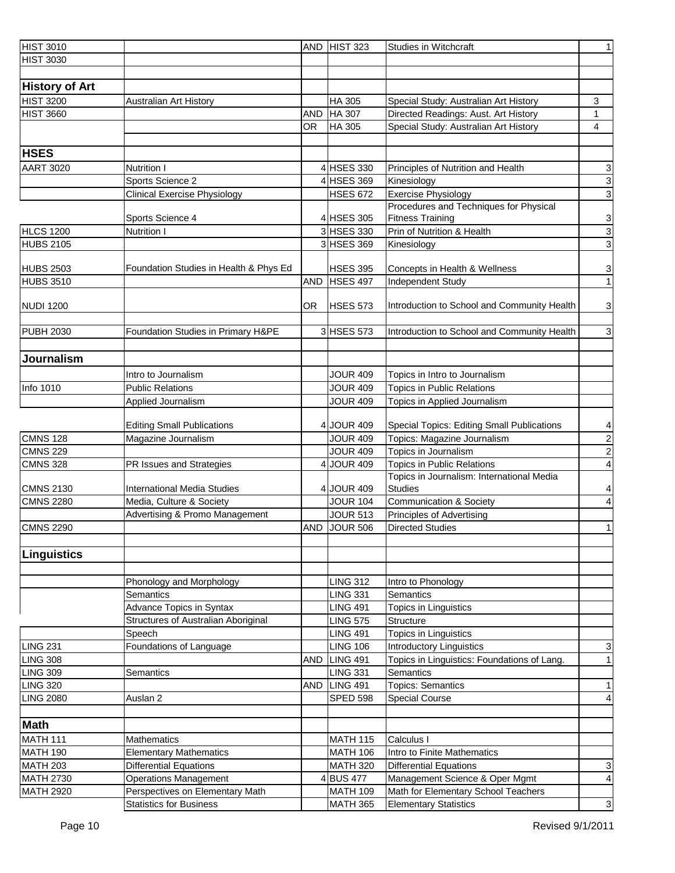| <b>HIST 3010</b>      |                                        | AND        | HIST 323        | <b>Studies in Witchcraft</b>                | 1              |
|-----------------------|----------------------------------------|------------|-----------------|---------------------------------------------|----------------|
| <b>HIST 3030</b>      |                                        |            |                 |                                             |                |
|                       |                                        |            |                 |                                             |                |
| <b>History of Art</b> |                                        |            |                 |                                             |                |
| <b>HIST 3200</b>      | <b>Australian Art History</b>          |            | <b>HA 305</b>   | Special Study: Australian Art History       | 3              |
| <b>HIST 3660</b>      |                                        | <b>AND</b> | <b>HA 307</b>   | Directed Readings: Aust. Art History        | 1              |
|                       |                                        | OR.        | HA 305          | Special Study: Australian Art History       | 4              |
|                       |                                        |            |                 |                                             |                |
| <b>HSES</b>           |                                        |            |                 |                                             |                |
| <b>AART 3020</b>      | <b>Nutrition I</b>                     |            | 4 HSES 330      | Principles of Nutrition and Health          |                |
|                       | Sports Science 2                       |            | 4 HSES 369      | Kinesiology                                 | $\frac{3}{3}$  |
|                       | <b>Clinical Exercise Physiology</b>    |            | <b>HSES 672</b> | Exercise Physiology                         | $\overline{3}$ |
|                       |                                        |            |                 | Procedures and Techniques for Physical      |                |
|                       | Sports Science 4                       |            | 4 HSES 305      | <b>Fitness Training</b>                     |                |
| <b>HLCS 1200</b>      | <b>Nutrition I</b>                     |            | 3 HSES 330      | Prin of Nutrition & Health                  | $\frac{3}{3}$  |
| <b>HUBS 2105</b>      |                                        |            | 3 HSES 369      | Kinesiology                                 | $\overline{3}$ |
|                       |                                        |            |                 |                                             |                |
| <b>HUBS 2503</b>      | Foundation Studies in Health & Phys Ed |            | <b>HSES 395</b> | Concepts in Health & Wellness               | $\overline{3}$ |
| <b>HUBS 3510</b>      |                                        | <b>AND</b> | HSES 497        | <b>Independent Study</b>                    | $\overline{1}$ |
|                       |                                        |            |                 |                                             |                |
| <b>NUDI 1200</b>      |                                        | OR.        | HSES 573        | Introduction to School and Community Health | $\mathbf{3}$   |
|                       |                                        |            |                 |                                             |                |
| <b>PUBH 2030</b>      | Foundation Studies in Primary H&PE     |            | 3 HSES 573      | Introduction to School and Community Health | $\mathbf{3}$   |
|                       |                                        |            |                 |                                             |                |
| <b>Journalism</b>     |                                        |            |                 |                                             |                |
|                       | Intro to Journalism                    |            | <b>JOUR 409</b> | Topics in Intro to Journalism               |                |
| Info 1010             | <b>Public Relations</b>                |            | <b>JOUR 409</b> | <b>Topics in Public Relations</b>           |                |
|                       | Applied Journalism                     |            | <b>JOUR 409</b> | Topics in Applied Journalism                |                |
|                       |                                        |            |                 |                                             |                |
|                       | <b>Editing Small Publications</b>      |            | 4 JOUR 409      | Special Topics: Editing Small Publications  | $\overline{4}$ |
| <b>CMNS 128</b>       | Magazine Journalism                    |            | <b>JOUR 409</b> | Topics: Magazine Journalism                 |                |
| CMNS 229              |                                        |            | <b>JOUR 409</b> | Topics in Journalism                        | $\frac{2}{2}$  |
| <b>CMNS 328</b>       | PR Issues and Strategies               |            | 4 JOUR 409      | <b>Topics in Public Relations</b>           | $\vert$        |
|                       |                                        |            |                 | Topics in Journalism: International Media   |                |
| <b>CMNS 2130</b>      | <b>International Media Studies</b>     |            | 4 JOUR 409      | <b>Studies</b>                              | $\overline{4}$ |
| <b>CMNS 2280</b>      | Media, Culture & Society               |            | <b>JOUR 104</b> | Communication & Society                     | $\overline{4}$ |
|                       | Advertising & Promo Management         |            | <b>JOUR 513</b> | Principles of Advertising                   |                |
| <b>CMNS 2290</b>      |                                        | <b>AND</b> | JOUR 506        | <b>Directed Studies</b>                     | 1              |
|                       |                                        |            |                 |                                             |                |
| Linguistics           |                                        |            |                 |                                             |                |
|                       |                                        |            |                 |                                             |                |
|                       | Phonology and Morphology               |            | <b>LING 312</b> | Intro to Phonology                          |                |
|                       | Semantics                              |            | <b>LING 331</b> | Semantics                                   |                |
|                       | Advance Topics in Syntax               |            | <b>LING 491</b> | Topics in Linguistics                       |                |
|                       | Structures of Australian Aboriginal    |            | <b>LING 575</b> | Structure                                   |                |
|                       | Speech                                 |            | <b>LING 491</b> | Topics in Linguistics                       |                |
| <b>LING 231</b>       | Foundations of Language                |            | <b>LING 106</b> | Introductory Linguistics                    | 3              |
| <b>LING 308</b>       |                                        | <b>AND</b> | LING 491        | Topics in Linguistics: Foundations of Lang. | 1              |
| <b>LING 309</b>       | Semantics                              |            | <b>LING 331</b> | Semantics                                   |                |
| <b>LING 320</b>       |                                        | <b>AND</b> | LING 491        | <b>Topics: Semantics</b>                    | $\mathbf{1}$   |
| <b>LING 2080</b>      | Auslan 2                               |            | <b>SPED 598</b> | <b>Special Course</b>                       | $\vert$        |
|                       |                                        |            |                 |                                             |                |
| <b>Math</b>           |                                        |            |                 |                                             |                |
| <b>MATH 111</b>       | <b>Mathematics</b>                     |            | <b>MATH 115</b> | Calculus I                                  |                |
| <b>MATH 190</b>       | <b>Elementary Mathematics</b>          |            | <b>MATH 106</b> | Intro to Finite Mathematics                 |                |
| <b>MATH 203</b>       | <b>Differential Equations</b>          |            | <b>MATH 320</b> | <b>Differential Equations</b>               | $\mathbf{3}$   |
| <b>MATH 2730</b>      | <b>Operations Management</b>           |            | 4BUS 477        | Management Science & Oper Mgmt              | $\overline{4}$ |
| <b>MATH 2920</b>      | Perspectives on Elementary Math        |            | <b>MATH 109</b> | Math for Elementary School Teachers         |                |
|                       | <b>Statistics for Business</b>         |            | <b>MATH 365</b> | <b>Elementary Statistics</b>                | $\mathbf{3}$   |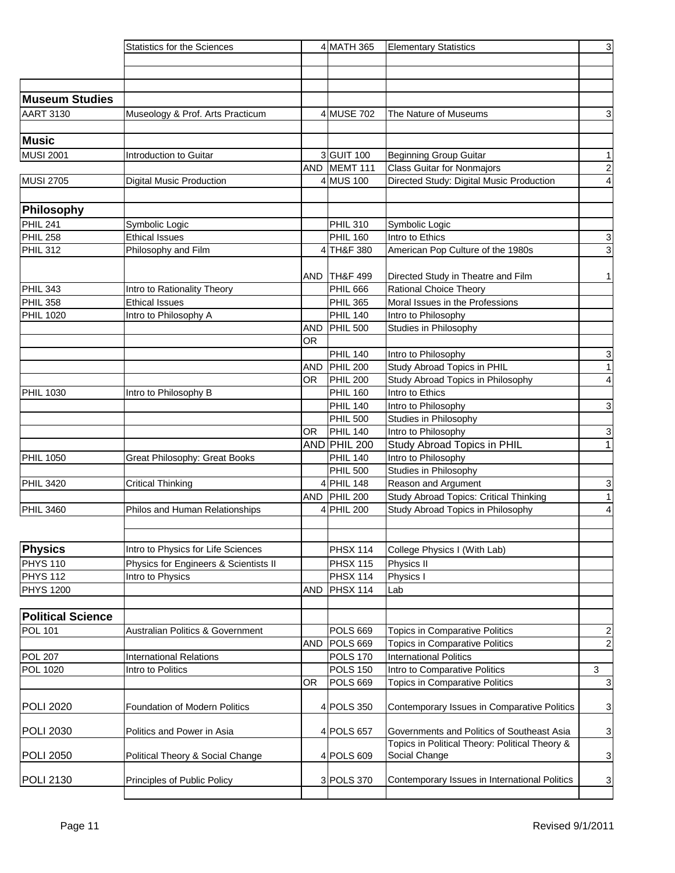|                          | <b>Statistics for the Sciences</b>          |            | 4 MATH 365          | <b>Elementary Statistics</b>                                                                 | $\mathbf{3}$              |
|--------------------------|---------------------------------------------|------------|---------------------|----------------------------------------------------------------------------------------------|---------------------------|
|                          |                                             |            |                     |                                                                                              |                           |
|                          |                                             |            |                     |                                                                                              |                           |
|                          |                                             |            |                     |                                                                                              |                           |
| Museum Studies           |                                             |            |                     |                                                                                              |                           |
| <b>AART 3130</b>         | Museology & Prof. Arts Practicum            |            | 4 MUSE 702          | The Nature of Museums                                                                        | 3                         |
|                          |                                             |            |                     |                                                                                              |                           |
| <b>Music</b>             |                                             |            |                     |                                                                                              |                           |
| <b>MUSI 2001</b>         | Introduction to Guitar                      |            | 3 GUIT 100          | <b>Beginning Group Guitar</b>                                                                | 1                         |
|                          |                                             |            | AND MEMT 111        | Class Guitar for Nonmajors                                                                   | $\overline{2}$            |
| <b>MUSI 2705</b>         | <b>Digital Music Production</b>             |            | 4 MUS 100           | Directed Study: Digital Music Production                                                     | $\vert$                   |
|                          |                                             |            |                     |                                                                                              |                           |
| Philosophy               |                                             |            |                     |                                                                                              |                           |
| PHIL <sub>241</sub>      | Symbolic Logic                              |            | <b>PHIL 310</b>     | Symbolic Logic                                                                               |                           |
| PHIL <sub>258</sub>      | <b>Ethical Issues</b>                       |            | <b>PHIL 160</b>     | Intro to Ethics                                                                              | $\mathbf{3}$              |
| PHIL 312                 | Philosophy and Film                         |            | TH&F 380            | American Pop Culture of the 1980s                                                            | $\overline{3}$            |
|                          |                                             |            |                     |                                                                                              |                           |
|                          |                                             | AND        | TH&F 499            | Directed Study in Theatre and Film                                                           | 1                         |
| PHIL 343                 | Intro to Rationality Theory                 |            | <b>PHIL 666</b>     | <b>Rational Choice Theory</b>                                                                |                           |
| PHIL 358                 | <b>Ethical Issues</b>                       |            | <b>PHIL 365</b>     | Moral Issues in the Professions                                                              |                           |
| <b>PHIL 1020</b>         | Intro to Philosophy A                       |            | <b>PHIL 140</b>     | Intro to Philosophy                                                                          |                           |
|                          |                                             | <b>AND</b> | <b>PHIL 500</b>     | Studies in Philosophy                                                                        |                           |
|                          |                                             | <b>OR</b>  |                     |                                                                                              |                           |
|                          |                                             |            | <b>PHIL 140</b>     | Intro to Philosophy                                                                          | $\mathbf{3}$              |
|                          |                                             | <b>AND</b> | PHIL <sub>200</sub> | Study Abroad Topics in PHIL                                                                  | 1                         |
|                          |                                             | OR         | <b>PHIL 200</b>     | Study Abroad Topics in Philosophy                                                            | $\vert$                   |
| <b>PHIL 1030</b>         | Intro to Philosophy B                       |            | <b>PHIL 160</b>     | Intro to Ethics                                                                              |                           |
|                          |                                             |            | <b>PHIL 140</b>     | Intro to Philosophy                                                                          | $\overline{3}$            |
|                          |                                             |            | <b>PHIL 500</b>     | Studies in Philosophy                                                                        |                           |
|                          |                                             | OR.        | <b>PHIL 140</b>     | Intro to Philosophy                                                                          | $\ensuremath{\mathsf{3}}$ |
|                          |                                             |            | AND PHIL 200        | Study Abroad Topics in PHIL                                                                  | $\overline{1}$            |
| <b>PHIL 1050</b>         | Great Philosophy: Great Books               |            | PHIL 140            | Intro to Philosophy                                                                          |                           |
|                          |                                             |            | <b>PHIL 500</b>     | Studies in Philosophy                                                                        |                           |
| <b>PHIL 3420</b>         | <b>Critical Thinking</b>                    |            | 4 PHIL 148          | Reason and Argument                                                                          | $\mathbf{3}$              |
|                          |                                             |            | AND PHIL 200        | Study Abroad Topics: Critical Thinking                                                       | $\overline{1}$            |
| <b>PHIL 3460</b>         | Philos and Human Relationships              |            | 4 PHIL 200          | Study Abroad Topics in Philosophy                                                            | $\overline{4}$            |
|                          |                                             |            |                     |                                                                                              |                           |
|                          |                                             |            |                     |                                                                                              |                           |
| <b>Physics</b>           | Intro to Physics for Life Sciences          |            | <b>PHSX 114</b>     | College Physics I (With Lab)                                                                 |                           |
| PHYS <sub>110</sub>      | Physics for Engineers & Scientists II       |            | <b>PHSX 115</b>     | Physics II                                                                                   |                           |
| PHYS <sub>112</sub>      | Intro to Physics                            |            | <b>PHSX 114</b>     | Physics I                                                                                    |                           |
| <b>PHYS 1200</b>         |                                             | <b>AND</b> | PHSX 114            | Lab                                                                                          |                           |
|                          |                                             |            |                     |                                                                                              |                           |
| <b>Political Science</b> |                                             |            |                     |                                                                                              |                           |
| <b>POL 101</b>           | <b>Australian Politics &amp; Government</b> |            | <b>POLS 669</b>     | <b>Topics in Comparative Politics</b>                                                        | $\overline{c}$            |
|                          |                                             | AND        | POLS 669            | Topics in Comparative Politics                                                               | $\overline{2}$            |
| <b>POL 207</b>           | <b>International Relations</b>              |            | <b>POLS 170</b>     | <b>International Politics</b>                                                                |                           |
| <b>POL 1020</b>          | Intro to Politics                           |            | <b>POLS 150</b>     | Intro to Comparative Politics                                                                | $\mathbf{3}$              |
|                          |                                             | OR         | POLS 669            | Topics in Comparative Politics                                                               | $\mathbf{3}$              |
|                          |                                             |            |                     |                                                                                              |                           |
| <b>POLI 2020</b>         | Foundation of Modern Politics               |            | 4 POLS 350          | Contemporary Issues in Comparative Politics                                                  | $\mathbf{3}$              |
|                          |                                             |            |                     |                                                                                              |                           |
| <b>POLI 2030</b>         | Politics and Power in Asia                  |            | 4 POLS 657          | Governments and Politics of Southeast Asia<br>Topics in Political Theory: Political Theory & | $\mathbf{3}$              |
| <b>POLI 2050</b>         | Political Theory & Social Change            |            | 4 POLS 609          | Social Change                                                                                | $\overline{3}$            |
|                          |                                             |            |                     |                                                                                              |                           |
| POLI 2130                | Principles of Public Policy                 |            | 3 POLS 370          | Contemporary Issues in International Politics                                                | $\overline{3}$            |
|                          |                                             |            |                     |                                                                                              |                           |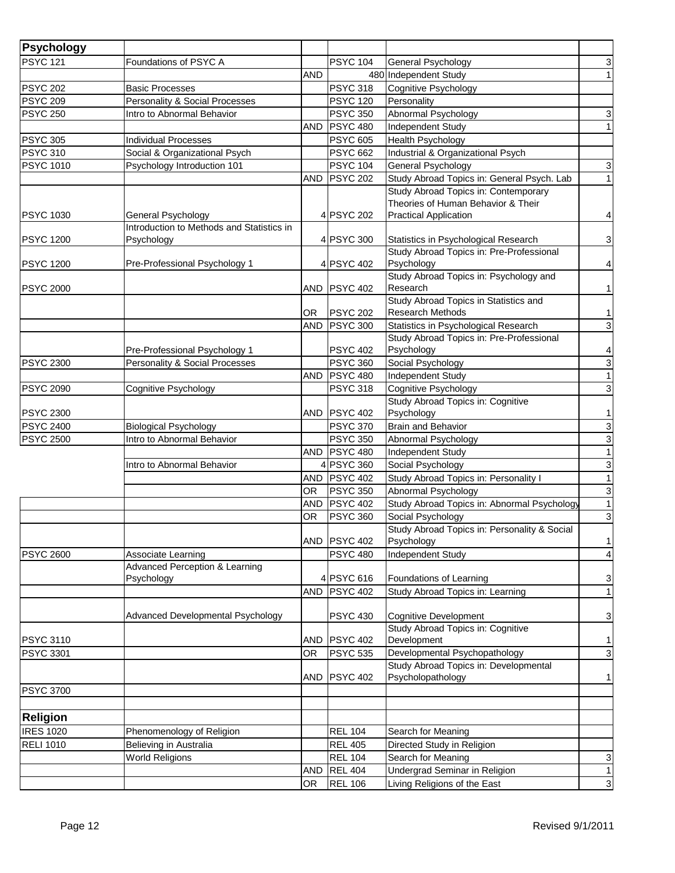| Psychology<br><b>PSYC 121</b><br><b>PSYC 104</b><br>Foundations of PSYC A<br>General Psychology<br><b>AND</b><br>480 Independent Study<br><b>PSYC 318</b><br><b>PSYC 202</b><br>Cognitive Psychology<br><b>Basic Processes</b> | 3<br>1                    |
|--------------------------------------------------------------------------------------------------------------------------------------------------------------------------------------------------------------------------------|---------------------------|
|                                                                                                                                                                                                                                |                           |
|                                                                                                                                                                                                                                |                           |
|                                                                                                                                                                                                                                |                           |
| <b>PSYC 209</b><br>Personality & Social Processes<br><b>PSYC 120</b><br>Personality                                                                                                                                            |                           |
| <b>PSYC 350</b><br>Abnormal Psychology<br><b>PSYC 250</b><br>Intro to Abnormal Behavior                                                                                                                                        | 3                         |
| <b>PSYC 480</b><br>Independent Study<br><b>AND</b>                                                                                                                                                                             | $\overline{1}$            |
| <b>PSYC 605</b><br>Health Psychology<br><b>PSYC 305</b><br><b>Individual Processes</b>                                                                                                                                         |                           |
| <b>PSYC 310</b><br>Social & Organizational Psych<br><b>PSYC 662</b><br>Industrial & Organizational Psych                                                                                                                       |                           |
| <b>PSYC 1010</b><br>Psychology Introduction 101<br><b>PSYC 104</b><br>General Psychology                                                                                                                                       | $\mathbf{3}$              |
| Study Abroad Topics in: General Psych. Lab<br><b>PSYC 202</b><br><b>AND</b>                                                                                                                                                    | $\overline{1}$            |
| Study Abroad Topics in: Contemporary                                                                                                                                                                                           |                           |
| Theories of Human Behavior & Their                                                                                                                                                                                             |                           |
| <b>Practical Application</b><br><b>PSYC 1030</b><br>4 PSYC 202<br>General Psychology<br>Introduction to Methods and Statistics in                                                                                              | $\vert 4 \vert$           |
| <b>PSYC 1200</b><br>Psychology<br>4 PSYC 300<br>Statistics in Psychological Research                                                                                                                                           | $\mathbf{3}$              |
| Study Abroad Topics in: Pre-Professional                                                                                                                                                                                       |                           |
| Pre-Professional Psychology 1<br>4 PSYC 402<br>Psychology<br><b>PSYC 1200</b>                                                                                                                                                  | $\vert$                   |
| Study Abroad Topics in: Psychology and                                                                                                                                                                                         |                           |
| <b>PSYC 402</b><br>Research<br><b>PSYC 2000</b><br><b>AND</b>                                                                                                                                                                  | 1                         |
| Study Abroad Topics in Statistics and                                                                                                                                                                                          |                           |
| <b>Research Methods</b><br><b>PSYC 202</b><br>OR                                                                                                                                                                               | 1                         |
| <b>PSYC 300</b><br>Statistics in Psychological Research<br><b>AND</b>                                                                                                                                                          | $\ensuremath{\mathsf{3}}$ |
| Study Abroad Topics in: Pre-Professional                                                                                                                                                                                       |                           |
| <b>PSYC 402</b><br>Psychology<br>Pre-Professional Psychology 1                                                                                                                                                                 | $\overline{4}$            |
| Personality & Social Processes<br><b>PSYC 360</b><br><b>PSYC 2300</b><br>Social Psychology                                                                                                                                     | $\mathbf{3}$              |
| <b>PSYC 480</b><br>Independent Study<br><b>AND</b>                                                                                                                                                                             | 1                         |
| <b>PSYC 318</b><br><b>PSYC 2090</b><br>Cognitive Psychology<br>Cognitive Psychology                                                                                                                                            | $\mathbf{3}$              |
| Study Abroad Topics in: Cognitive<br><b>PSYC 402</b><br>Psychology<br><b>PSYC 2300</b><br>AND                                                                                                                                  | 1                         |
| <b>Biological Psychology</b><br><b>PSYC 370</b><br><b>PSYC 2400</b><br><b>Brain and Behavior</b>                                                                                                                               |                           |
| <b>PSYC 2500</b><br><b>PSYC 350</b><br>Intro to Abnormal Behavior<br>Abnormal Psychology                                                                                                                                       | $\frac{3}{3}$             |
| <b>PSYC 480</b><br><b>AND</b><br>Independent Study                                                                                                                                                                             | $\overline{1}$            |
| 4 PSYC 360<br>Social Psychology<br>Intro to Abnormal Behavior                                                                                                                                                                  | $\mathbf{3}$              |
| <b>PSYC 402</b><br>Study Abroad Topics in: Personality I<br><b>AND</b>                                                                                                                                                         | 1                         |
| <b>PSYC 350</b><br>Abnormal Psychology<br>OR                                                                                                                                                                                   | 3                         |
| PSYC 402<br>Study Abroad Topics in: Abnormal Psychology<br><b>AND</b>                                                                                                                                                          | $\overline{1}$            |
| <b>OR</b><br><b>PSYC 360</b><br>Social Psychology                                                                                                                                                                              | $\mathbf{3}$              |
| Study Abroad Topics in: Personality & Social                                                                                                                                                                                   |                           |
| <b>PSYC 402</b><br>Psychology<br>AND                                                                                                                                                                                           | 1                         |
| <b>PSYC 480</b><br>Independent Study<br><b>PSYC 2600</b><br>Associate Learning                                                                                                                                                 | $\vert$                   |
| <b>Advanced Perception &amp; Learning</b>                                                                                                                                                                                      |                           |
| Psychology<br>4 PSYC 616<br>Foundations of Learning                                                                                                                                                                            | $\mathbf{3}$              |
| <b>PSYC 402</b><br><b>AND</b><br>Study Abroad Topics in: Learning                                                                                                                                                              | 1                         |
|                                                                                                                                                                                                                                |                           |
| Advanced Developmental Psychology<br><b>PSYC 430</b><br><b>Cognitive Development</b>                                                                                                                                           | $\mathbf{3}$              |
| Study Abroad Topics in: Cognitive<br>Development<br><b>PSYC 402</b><br><b>PSYC 3110</b><br><b>AND</b>                                                                                                                          | 1                         |
| Developmental Psychopathology<br><b>PSYC 535</b><br><b>PSYC 3301</b><br>OR                                                                                                                                                     | $\mathbf{3}$              |
| Study Abroad Topics in: Developmental                                                                                                                                                                                          |                           |
| <b>PSYC 402</b><br>Psycholopathology<br><b>AND</b>                                                                                                                                                                             | 1                         |
| <b>PSYC 3700</b>                                                                                                                                                                                                               |                           |
|                                                                                                                                                                                                                                |                           |
| <b>Religion</b>                                                                                                                                                                                                                |                           |
| <b>IRES 1020</b><br><b>REL 104</b><br>Phenomenology of Religion<br>Search for Meaning                                                                                                                                          |                           |
| <b>RELI 1010</b><br>Believing in Australia<br><b>REL 405</b><br>Directed Study in Religion                                                                                                                                     |                           |
| <b>World Religions</b><br><b>REL 104</b><br>Search for Meaning                                                                                                                                                                 | 3                         |
| <b>REL 404</b><br>Undergrad Seminar in Religion<br><b>AND</b>                                                                                                                                                                  | 1                         |
| <b>REL 106</b><br>Living Religions of the East<br><b>OR</b>                                                                                                                                                                    | $\mathbf{3}$              |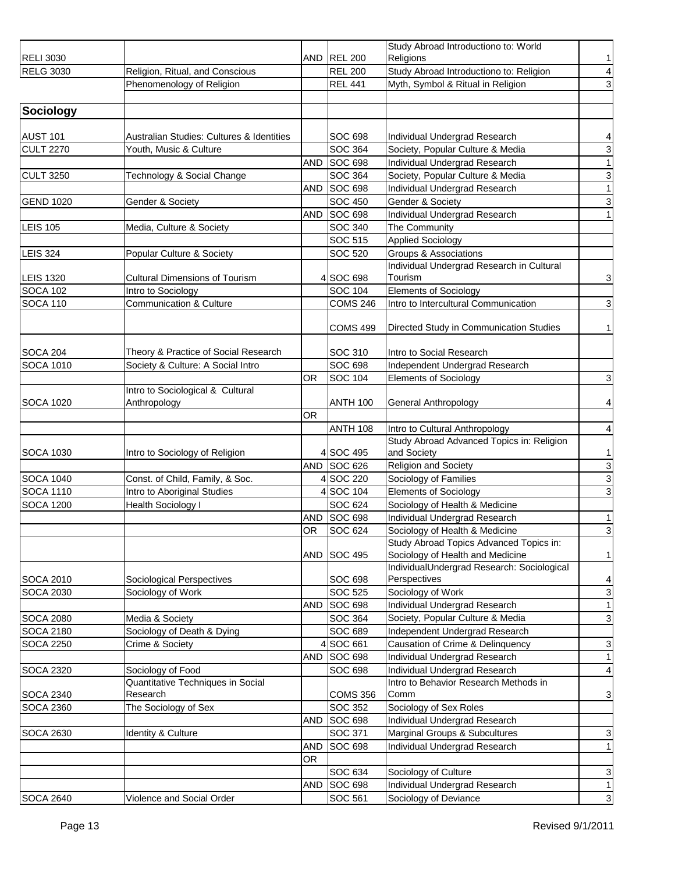|                                      |                                                                |            |                       | Study Abroad Introductiono to: World                                      |                |
|--------------------------------------|----------------------------------------------------------------|------------|-----------------------|---------------------------------------------------------------------------|----------------|
| <b>RELI 3030</b>                     |                                                                |            | AND REL 200           | Religions                                                                 | 1              |
| <b>RELG 3030</b>                     | Religion, Ritual, and Conscious                                |            | <b>REL 200</b>        | Study Abroad Introductiono to: Religion                                   | $\overline{a}$ |
|                                      | Phenomenology of Religion                                      |            | <b>REL 441</b>        | Myth, Symbol & Ritual in Religion                                         | $\mathbf 3$    |
|                                      |                                                                |            |                       |                                                                           |                |
| Sociology                            |                                                                |            |                       |                                                                           |                |
|                                      |                                                                |            |                       |                                                                           |                |
| <b>AUST 101</b>                      | Australian Studies: Cultures & Identities                      |            | SOC 698               | Individual Undergrad Research                                             | $\overline{4}$ |
| <b>CULT 2270</b>                     | Youth, Music & Culture                                         |            | SOC 364               | Society, Popular Culture & Media                                          | $\mathbf{3}$   |
|                                      |                                                                | <b>AND</b> | SOC 698               | Individual Undergrad Research                                             | $\overline{1}$ |
| <b>CULT 3250</b>                     | Technology & Social Change                                     |            | SOC 364               | Society, Popular Culture & Media                                          | $\overline{3}$ |
|                                      |                                                                | <b>AND</b> | SOC 698               | Individual Undergrad Research                                             | $\overline{1}$ |
| <b>GEND 1020</b>                     | Gender & Society                                               |            | <b>SOC 450</b>        | Gender & Society                                                          | $\mathbf{3}$   |
|                                      |                                                                | <b>AND</b> | SOC 698               | Individual Undergrad Research                                             | 1              |
| <b>LEIS 105</b>                      | Media, Culture & Society                                       |            | SOC 340               | The Community                                                             |                |
|                                      |                                                                |            | SOC 515               | <b>Applied Sociology</b>                                                  |                |
| <b>LEIS 324</b>                      | Popular Culture & Society                                      |            | SOC 520               | <b>Groups &amp; Associations</b>                                          |                |
|                                      |                                                                |            |                       | Individual Undergrad Research in Cultural                                 |                |
| <b>LEIS 1320</b>                     | <b>Cultural Dimensions of Tourism</b>                          |            | 4 SOC 698             | Tourism                                                                   | $\mathbf{3}$   |
| <b>SOCA 102</b>                      | Intro to Sociology                                             |            | <b>SOC 104</b>        | <b>Elements of Sociology</b>                                              |                |
| <b>SOCA 110</b>                      | <b>Communication &amp; Culture</b>                             |            | <b>COMS 246</b>       | Intro to Intercultural Communication                                      | $\mathbf{3}$   |
|                                      |                                                                |            |                       |                                                                           |                |
|                                      |                                                                |            | <b>COMS 499</b>       | Directed Study in Communication Studies                                   | 1              |
|                                      |                                                                |            |                       |                                                                           |                |
| <b>SOCA 204</b>                      | Theory & Practice of Social Research                           |            | SOC 310               | Intro to Social Research                                                  |                |
| <b>SOCA 1010</b>                     | Society & Culture: A Social Intro                              |            | SOC 698               | Independent Undergrad Research                                            |                |
|                                      |                                                                | 0R         | <b>SOC 104</b>        | <b>Elements of Sociology</b>                                              | $\mathbf{3}$   |
|                                      | Intro to Sociological & Cultural                               |            |                       |                                                                           |                |
| <b>SOCA 1020</b>                     | Anthropology                                                   |            | <b>ANTH 100</b>       | General Anthropology                                                      | $\vert$        |
|                                      |                                                                | <b>OR</b>  |                       |                                                                           |                |
|                                      |                                                                |            | <b>ANTH 108</b>       | Intro to Cultural Anthropology                                            | $\overline{4}$ |
|                                      |                                                                |            | 4 SOC 495             | Study Abroad Advanced Topics in: Religion                                 | 1              |
| <b>SOCA 1030</b>                     | Intro to Sociology of Religion                                 | <b>AND</b> | <b>SOC 626</b>        | and Society                                                               |                |
|                                      |                                                                |            |                       | Religion and Society<br>Sociology of Families                             | سا س           |
| <b>SOCA 1040</b><br><b>SOCA 1110</b> | Const. of Child, Family, & Soc.<br>Intro to Aboriginal Studies |            | 4SOC 220<br>4 SOC 104 | <b>Elements of Sociology</b>                                              | $\overline{3}$ |
|                                      |                                                                |            | <b>SOC 624</b>        |                                                                           |                |
| <b>SOCA 1200</b>                     | <b>Health Sociology I</b>                                      |            | SOC 698               | Sociology of Health & Medicine                                            |                |
|                                      |                                                                | <b>AND</b> |                       | Individual Undergrad Research                                             | 1              |
|                                      |                                                                | OR         | SOC 624               | Sociology of Health & Medicine<br>Study Abroad Topics Advanced Topics in: | $\mathbf{3}$   |
|                                      |                                                                | <b>AND</b> | SOC 495               | Sociology of Health and Medicine                                          | 1              |
|                                      |                                                                |            |                       | IndividualUndergrad Research: Sociological                                |                |
| <b>SOCA 2010</b>                     | Sociological Perspectives                                      |            | SOC 698               | Perspectives                                                              | $\overline{a}$ |
| <b>SOCA 2030</b>                     | Sociology of Work                                              |            | SOC 525               | Sociology of Work                                                         | $\mathbf{3}$   |
|                                      |                                                                | <b>AND</b> | <b>SOC 698</b>        | Individual Undergrad Research                                             | 1              |
| <b>SOCA 2080</b>                     | Media & Society                                                |            | SOC 364               | Society, Popular Culture & Media                                          | $\mathbf{3}$   |
| <b>SOCA 2180</b>                     | Sociology of Death & Dying                                     |            | SOC 689               | Independent Undergrad Research                                            |                |
| <b>SOCA 2250</b>                     | Crime & Society                                                |            | SOC 661               | Causation of Crime & Delinquency                                          | $\mathbf{3}$   |
|                                      |                                                                | AND        | <b>SOC 698</b>        | Individual Undergrad Research                                             | 1              |
| <b>SOCA 2320</b>                     | Sociology of Food                                              |            | <b>SOC 698</b>        | Individual Undergrad Research                                             | $\vert$        |
|                                      | Quantitative Techniques in Social                              |            |                       | Intro to Behavior Research Methods in                                     |                |
| <b>SOCA 2340</b>                     | Research                                                       |            | <b>COMS 356</b>       | Comm                                                                      | $\mathbf{3}$   |
| <b>SOCA 2360</b>                     | The Sociology of Sex                                           |            | SOC 352               | Sociology of Sex Roles                                                    |                |
|                                      |                                                                | <b>AND</b> | SOC 698               | Individual Undergrad Research                                             |                |
| <b>SOCA 2630</b>                     | Identity & Culture                                             |            | SOC 371               | Marginal Groups & Subcultures                                             | $\mathbf{3}$   |
|                                      |                                                                | <b>AND</b> | <b>SOC 698</b>        | Individual Undergrad Research                                             | 1              |
|                                      |                                                                | <b>OR</b>  |                       |                                                                           |                |
|                                      |                                                                |            | SOC 634               | Sociology of Culture                                                      | 3              |
|                                      |                                                                | <b>AND</b> | SOC 698               | Individual Undergrad Research                                             | $\vert$ 1      |
| <b>SOCA 2640</b>                     | Violence and Social Order                                      |            | SOC 561               | Sociology of Deviance                                                     | $\mathbf{3}$   |
|                                      |                                                                |            |                       |                                                                           |                |